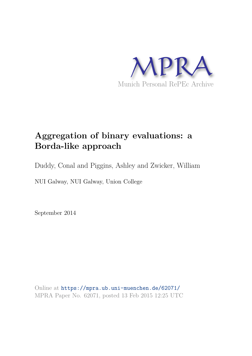

# **Aggregation of binary evaluations: a Borda-like approach**

Duddy, Conal and Piggins, Ashley and Zwicker, William

NUI Galway, NUI Galway, Union College

September 2014

Online at https://mpra.ub.uni-muenchen.de/62071/ MPRA Paper No. 62071, posted 13 Feb 2015 12:25 UTC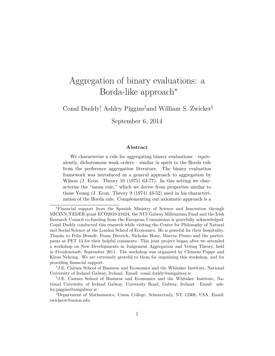# Aggregation of binary evaluations: a Borda-like approach<sup>∗</sup>

Conal Duddy<sup>†</sup> Ashley Piggins<sup>‡</sup>and William S. Zwicker<sup>§</sup>

September 6, 2014

#### **Abstract**

We characterize a rule for aggregating binary evaluations – equivalently, dichotomous weak orders – similar in spirit to the Borda rule from the preference aggregation literature. The binary evaluation framework was introduced as a general approach to aggregation by Wilson (J. Econ. Theory 10 (1975) 63-77). In this setting we characterize the "mean rule," which we derive from properties similar to those Young (J. Econ. Theory 9 (1974) 43-52) used in his characterization of the Borda rule. Complementing our axiomatic approach is a

<sup>∗</sup>Financial support from the Spanish Ministry of Science and Innovation through MICINN/FEDER grant ECO2010-21624, the NUI Galway Millennium Fund and the Irish Research Council co-funding from the European Commission is gratefully acknowledged. Conal Duddy conducted this research while visiting the Centre for Philosophy of Natural and Social Science at the London School of Economics. He is grateful for their hospitality. Thanks to Felix Brandt, Franz Dietrich, Nicholas Houy, Marcus Pivato and the participants at PET 13 for their helpful comments. This joint project began after we attended a workshop on New Developments in Judgement Aggregation and Voting Theory, held in Freudenstadt, September 2011. The workshop was organised by Clemens Puppe and Klaus Nehring. We are extremely grateful to them for organizing this workshop, and for providing financial support.

<sup>†</sup>J.E. Cairnes School of Business and Economics and the Whitaker Institute, National University of Ireland Galway, Ireland. Email: conal.duddy@nuigalway.ie

<sup>‡</sup>J.E. Cairnes School of Business and Economics and the Whitaker Institute, National University of Ireland Galway, University Road, Galway, Ireland. Email: ashley.piggins@nuigalway.ie

<sup>§</sup>Department of Mathematics, Union College, Schenectady, NY 12308, USA. Email: zwickerw@union.edu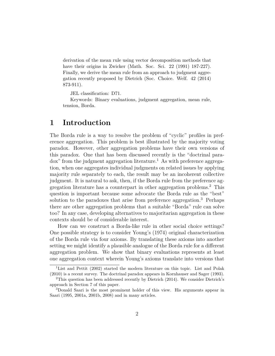derivation of the mean rule using vector decomposition methods that have their origins in Zwicker (Math. Soc. Sci. 22 (1991) 187-227). Finally, we derive the mean rule from an approach to judgment aggregation recently proposed by Dietrich (Soc. Choice. Welf. 42 (2014) 873-911).

JEL classification: D71.

Keywords: Binary evaluations, judgment aggregation, mean rule, tension, Borda.

## **1 Introduction**

The Borda rule is a way to resolve the problem of "cyclic" profiles in preference aggregation. This problem is best illustrated by the majority voting paradox. However, other aggregation problems have their own versions of this paradox. One that has been discussed recently is the "doctrinal para $d$ ox" from the judgment aggregation literature.<sup>1</sup> As with preference aggregation, when one aggregates individual judgments on related issues by applying majority rule separately to each, the result may be an incoherent collective judgment. It is natural to ask, then, if the Borda rule from the preference aggregation literature has a counterpart in other aggregation problems.<sup>2</sup> This question is important because some advocate the Borda rule as the "best" solution to the paradoxes that arise from preference aggregation.<sup>3</sup> Perhaps there are other aggregation problems that a suitable "Borda" rule can solve too? In any case, developing alternatives to majoritarian aggregation in these contexts should be of considerable interest.

How can we construct a Borda-like rule in other social choice settings? One possible strategy is to consider Young's (1974) original characterization of the Borda rule via four axioms. By translating these axioms into another setting we might identify a plausible analogue of the Borda rule for a different aggregation problem. We show that binary evaluations represents at least one aggregation context wherein Young's axioms translate into versions that

<sup>&</sup>lt;sup>1</sup>List and Pettit (2002) started the modern literature on this topic. List and Polak (2010) is a recent survey. The doctrinal paradox appears in Kornhauser and Sager (1993).

<sup>&</sup>lt;sup>2</sup>This question has been addressed recently by Dietrich  $(2014)$ . We consider Dietrich's approach in Section 7 of this paper.

<sup>3</sup>Donald Saari is the most prominent holder of this view. His arguments appear in Saari (1995, 2001a, 2001b, 2008) and in many articles.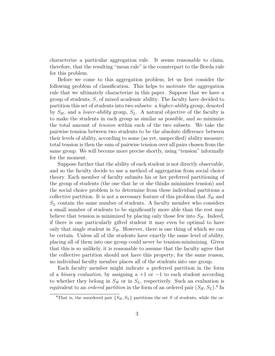characterize a particular aggregation rule. It seems reasonable to claim, therefore, that the resulting "mean rule" is the counterpart to the Borda rule for this problem.

Before we come to this aggregation problem, let us first consider the following problem of classification. This helps to motivate the aggregation rule that we ultimately characterize in this paper. Suppose that we have a group of students, *S*, of mixed academic ability. The faculty have decided to partition this set of students into two subsets: a *higher-ability* group, denoted by *SH*, and a *lower-ability* group, *SL*. A natural objective of the faculty is to make the students in each group as similar as possible, and so minimize the total amount of *tension* within each of the two subsets. We take the pairwise tension between two students to be the absolute difference between their levels of ability, according to some (as yet, unspecified) ability measure; total tension is then the sum of pairwise tension over all pairs chosen from the same group. We will become more precise shortly, using "tension" informally for the moment.

Suppose further that the ability of each student is not directly observable, and so the faculty decide to use a method of aggregation from social choice theory. Each member of faculty submits his or her preferred partitioning of the group of students (the one that he or she thinks minimizes tension) and the social choice problem is to determine from these individual partitions a collective partition. It is not a necessary feature of this problem that  $S_H$  and  $S_L$  contain the same number of students. A faculty member who considers a small number of students to be significantly more able than the rest may believe that tension is minimized by placing only those few into  $S_H$ . Indeed, if there is one particularly gifted student it may even be optimal to have only that single student in  $S_H$ . However, there is one thing of which we can be certain. Unless all of the students have exactly the same level of ability, placing all of them into one group could never be tension-minimizing. Given that this is so unlikely, it is reasonable to assume that the faculty agree that the collective partition should not have this property; for the same reason, no individual faculty member places all of the students into one group.

Each faculty member might indicate a preferred partition in the form of a *binary evaluation*, by assigning a  $+1$  or  $-1$  to each student according to whether they belong in  $S_H$  or in  $S_L$ , respectively. Such an evaluation is equivalent to an *ordered partition* in the form of an ordered pair  $(S_H, S_L)$ .<sup>4</sup> In

<sup>&</sup>lt;sup>4</sup>That is, the unordered pair  $\{S_H, S_L\}$  partitions the set *S* of students, while the or-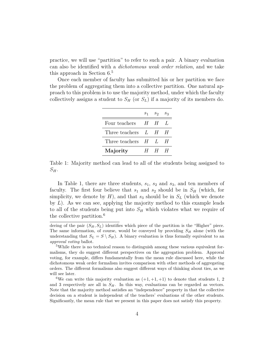practice, we will use "partition" to refer to such a pair. A binary evaluation can also be identified with a *dichotomous weak order relation*, and we take this approach in Section 6.<sup>5</sup>

Once each member of faculty has submitted his or her partition we face the problem of aggregating them into a collective partition. One natural approach to this problem is to use the majority method, under which the faculty collectively assigns a student to  $S_H$  (or  $S_L$ ) if a majority of its members do.

|                            |         | $S_1$ $S_2$ $S_3$ |   |
|----------------------------|---------|-------------------|---|
| Four teachers              | $H_{-}$ | - H-L             |   |
| Three teachers $L$ $H$ $H$ |         |                   |   |
| Three teachers $H$ $L$     |         |                   | H |
| Majority                   | $H_{-}$ | H                 | H |

Table 1: Majority method can lead to all of the students being assigned to  $S_H$ .

In Table 1, there are three students, *s*1, *s*<sup>2</sup> and *s*3, and ten members of faculty. The first four believe that  $s_1$  and  $s_2$  should be in  $S_H$  (which, for simplicity, we denote by  $H$ ), and that  $s_3$  should be in  $S_L$  (which we denote by *L*). As we can see, applying the majority method to this example leads to all of the students being put into  $S_H$  which violates what we require of the collective partition.<sup>6</sup>

dering of the pair  $(S_H, S_L)$  identifies which piece of the partition is the "Higher" piece. The same information, of course, would be conveyed by providing *S<sup>H</sup>* alone (with the understanding that  $S_L = S \setminus S_H$ . A binary evaluation is thus formally equivalent to an *approval voting* ballot.

<sup>5</sup>While there is no technical reason to distinguish among these various equivalent formalisms, they do suggest different perspectives on the aggregation problem. Approval voting, for example, differs fundamentally from the mean rule discussed here, while the dichotomous weak order formalism invites comparison with other methods of aggregating orders. The different formalisms also suggest different ways of thinking about ties, as we will see later.

<sup>&</sup>lt;sup>6</sup>We can write this majority evaluation as  $(+1, +1, +1)$  to denote that students 1, 2 and 3 respectively are all in  $S_H$ . In this way, evaluations can be regarded as vectors. Note that the majority method satisfies an "independence" property in that the collective decision on a student is independent of the teachers' evaluations of the other students. Significantly, the mean rule that we present in this paper does not satisfy this property.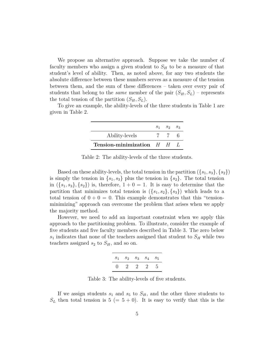We propose an alternative approach. Suppose we take the number of faculty members who assign a given student to  $S_H$  to be a measure of that student's level of ability. Then, as noted above, for any two students the absolute difference between these numbers serves as a measure of the tension between them, and the sum of these differences – taken over every pair of students that belong to the *same* member of the pair  $(S_H, S_L)$  – represents the total tension of the partition  $(S_H, S_L)$ .

To give an example, the ability-levels of the three students in Table 1 are given in Table 2.

|                              | $S_1$ $S_2$ $S_3$ |  |
|------------------------------|-------------------|--|
| Ability-levels               | $\mathbb{Z}$      |  |
| Tension-minimization $H$ $H$ |                   |  |

Table 2: The ability-levels of the three students.

Based on these ability-levels, the total tension in the partition  $({s_1, s_3}, {s_2})$ is simply the tension in  $\{s_1, s_3\}$  plus the tension in  $\{s_2\}$ . The total tension in  $({s_1, s_3}, {s_2})$  is, therefore,  $1 + 0 = 1$ . It is easy to determine that the partition that minimizes total tension is  $({s_1, s_2}, {s_3})$  which leads to a total tension of  $0 + 0 = 0$ . This example demonstrates that this "tensionminimizing" approach can overcome the problem that arises when we apply the majority method.

However, we need to add an important constraint when we apply this approach to the partitioning problem. To illustrate, consider the example of five students and five faculty members described in Table 3. The zero below  $s_1$  indicates that none of the teachers assigned that student to  $S_H$  while two teachers assigned  $s_2$  to  $S_H$ , and so on.

|        | $S_1$ $S_2$ $S_3$ $S_4$ |  | $s_{5}$ |
|--------|-------------------------|--|---------|
| $\Box$ | 2 2 2 5                 |  |         |

Table 3: The ability-levels of five students.

If we assign students  $s_1$  and  $s_5$  to  $S_H$ , and the other three students to  $S_L$  then total tension is  $5 (= 5 + 0)$ . It is easy to verify that this is the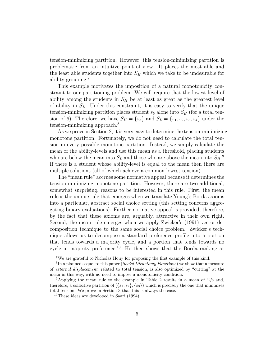tension-minimizing partition. However, this tension-minimizing partition is problematic from an intuitive point of view. It places the most able and the least able students together into  $S_H$  which we take to be undesirable for ability grouping.<sup>7</sup>

This example motivates the imposition of a natural monotonicity constraint to our partitioning problem. We will require that the lowest level of ability among the students in  $S_H$  be at least as great as the greatest level of ability in *SL*. Under this constraint, it is easy to verify that the unique tension-minimizing partition places student  $s<sub>5</sub>$  alone into  $S<sub>H</sub>$  (for a total tension of 6). Therefore, we have  $S_H = \{s_5\}$  and  $S_L = \{s_1, s_2, s_3, s_4\}$  under the tension-minimizing approach.<sup>8</sup>

As we prove in Section 2, it is very easy to determine the tension-minimizing monotone partition. Fortunately, we do not need to calculate the total tension in every possible monotone partition. Instead, we simply calculate the mean of the ability-levels and use this mean as a threshold, placing students who are below the mean into  $S_L$  and those who are above the mean into  $S_H$ <sup>9</sup>. If there is a student whose ability-level is equal to the mean then there are multiple solutions (all of which achieve a common lowest tension).

The "mean rule" accrues some normative appeal because it determines the tension-minimizing monotone partition. However, there are two additional, somewhat surprising, reasons to be interested in this rule. First, the mean rule is the unique rule that emerges when we translate Young's Borda axioms into a particular, abstract social choice setting (this setting concerns aggregating binary evaluations). Further normative appeal is provided, therefore, by the fact that these axioms are, arguably, attractive in their own right. Second, the mean rule emerges when we apply Zwicker's (1991) vector decomposition technique to the same social choice problem. Zwicker's technique allows us to decompose a standard preference profile into a portion that tends towards a majority cycle, and a portion that tends towards no cycle in majority preference.<sup>10</sup> He then shows that the Borda ranking at

 $7\,$ We are grateful to Nicholas Houy for proposing the first example of this kind.

<sup>8</sup> In a planned sequel to this paper (*Social Dichotomy Functions*) we show that a measure of *external displacement*, related to total tension, is also optimized by "cutting" at the mean in this way, with no need to impose a monotonicity condition.

<sup>9</sup>Applying the mean rule to the example in Table 2 results in a mean of <sup>20</sup>*/*<sup>3</sup> and, therefore, a collective partition of  $({s_1, s_2}, {s_3})$  which is precisely the one that minimizes total tension. We prove in Section 3 that this is always the case.

<sup>&</sup>lt;sup>10</sup>These ideas are developed in Saari  $(1994)$ .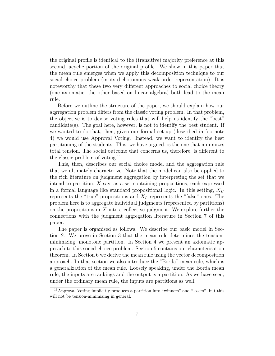the original profile is identical to the (transitive) majority preference at this second, acyclic portion of the original profile. We show in this paper that the mean rule emerges when we apply this decomposition technique to our social choice problem (in its dichotomous weak order representation). It is noteworthy that these two very different approaches to social choice theory (one axiomatic, the other based on linear algebra) both lead to the mean rule.

Before we outline the structure of the paper, we should explain how our aggregation problem differs from the classic voting problem. In that problem, the objective is to devise voting rules that will help us identify the "best" candidate(s). The goal here, however, is not to identify the best student. If we wanted to do that, then, given our formal set-up (described in footnote 4) we would use Approval Voting. Instead, we want to identify the best partitioning of the students. This, we have argued, is the one that minimizes total tension. The social outcome that concerns us, therefore, is different to the classic problem of voting.<sup>11</sup>

This, then, describes our social choice model and the aggregation rule that we ultimately characterize. Note that the model can also be applied to the rich literature on judgment aggregation by interpreting the set that we intend to partition, *X* say, as a set containing propositions, each expressed in a formal language like standard propositional logic. In this setting,  $X_H$ represents the "true" propositions and  $X_L$  represents the "false" ones. The problem here is to aggregate individual judgments (represented by partitions) on the propositions in *X* into a collective judgment. We explore further the connections with the judgment aggregation literature in Section 7 of this paper.

The paper is organised as follows. We describe our basic model in Section 2. We prove in Section 3 that the mean rule determines the tensionminimizing, monotone partition. In Section 4 we present an axiomatic approach to this social choice problem. Section 5 contains our characterisation theorem. In Section 6 we derive the mean rule using the vector decomposition approach. In that section we also introduce the "Borda" mean rule, which is a generalization of the mean rule. Loosely speaking, under the Borda mean rule, the inputs are rankings and the output is a partition. As we have seen, under the ordinary mean rule, the inputs are partitions as well.

<sup>11</sup>Approval Voting implicitly produces a partition into "winners" and "losers", but this will not be tension-minimizing in general.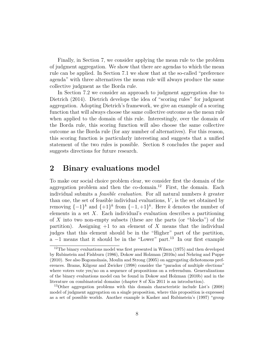Finally, in Section 7, we consider applying the mean rule to the problem of judgment aggregation. We show that there are agendas to which the mean rule can be applied. In Section 7.1 we show that at the so-called "preference agenda" with three alternatives the mean rule will always produce the same collective judgment as the Borda rule.

In Section 7.2 we consider an approach to judgment aggregation due to Dietrich (2014). Dietrich develops the idea of "scoring rules" for judgment aggregation. Adopting Dietrich's framework, we give an example of a scoring function that will always choose the same collective outcome as the mean rule when applied to the domain of this rule. Interestingly, over the domain of the Borda rule, this scoring function will also choose the same collective outcome as the Borda rule (for any number of alternatives). For this reason, this scoring function is particularly interesting and suggests that a unified statement of the two rules is possible. Section 8 concludes the paper and suggests directions for future research.

## **2 Binary evaluations model**

To make our social choice problem clear, we consider first the domain of the aggregation problem and then the co-domain.<sup>12</sup> First, the domain. Each individual submits a *feasible evaluation*. For all natural numbers *k* greater than one, the set of feasible individual evaluations, *V* , is the set obtained by removing  $\{-1\}^k$  and  $\{+1\}^k$  from  $\{-1,+1\}^k$ . Here *k* denotes the number of elements in a set *X*. Each individual's evaluation describes a partitioning of *X* into two non-empty subsets (these are the parts (or "blocks") of the partition). Assigning  $+1$  to an element of X means that the individual judges that this element should be in the "Higher" part of the partition, a  $-1$  means that it should be in the "Lower" part.<sup>13</sup> In our first example

<sup>&</sup>lt;sup>12</sup>The binary evaluations model was first presented in Wilson (1975) and then developed by Rubinstein and Fishburn (1986), Dokow and Holzman (2010a) and Nehring and Puppe (2010). See also Bogomolnaia, Moulin and Strong (2005) on aggregating dichotomous preferences. Brams, Kilgour and Zwicker (1998) consider the "paradox of multiple elections" where voters vote yes/no on a sequence of propositions on a referendum. Generalizations of the binary evaluations model can be found in Dokow and Holzman (2010b) and in the literature on combinatorial domains (chapter 8 of Xia 2011 is an introduction).

<sup>13</sup>Other aggregation problems with this domain characteristic include List's (2008) model of judgment aggregation on a single proposition, where this proposition is expressed as a set of possible worlds. Another example is Kasher and Rubinstein's (1997) "group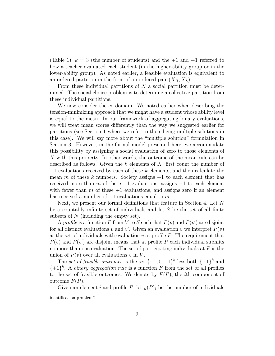(Table 1),  $k = 3$  (the number of students) and the  $+1$  and  $-1$  referred to how a teacher evaluated each student (in the higher-ability group or in the lower-ability group). As noted earlier, a feasible evaluation is equivalent to an ordered partition in the form of an ordered pair  $(X_H, X_L)$ .

From these individual partitions of *X* a social partition must be determined. The social choice problem is to determine a collective partition from these individual partitions.

We now consider the co-domain. We noted earlier when describing the tension-minimizing approach that we might have a student whose ability level is equal to the mean. In our framework of aggregating binary evaluations, we will treat mean scores differently than the way we suggested earlier for partitions (see Section 1 where we refer to their being multiple solutions in this case). We will say more about the "multiple solution" formulation in Section 3. However, in the formal model presented here, we accommodate this possibility by assigning a social evaluation of zero to those elements of *X* with this property. In other words, the outcome of the mean rule can be described as follows. Given the *k* elements of *X*, first count the number of +1 evaluations received by each of these *k* elements, and then calculate the mean *m* of these *k* numbers. Society assigns +1 to each element that has received more than *m* of these  $+1$  evaluations, assigns  $-1$  to each element with fewer than  $m$  of these  $+1$  evaluations, and assigns zero if an element has received a number of +1 evaluations equal to *m*.

Next, we present our formal definitions that feature in Section 4. Let *N* be a countably infinite set of individuals and let *S* be the set of all finite subsets of *N* (including the empty set).

A *profile* is a function *P* from *V* to *S* such that  $P(v)$  and  $P(v')$  are disjoint for all distinct evaluations *v* and *v*'. Given an evaluation *v* we interpret  $P(v)$ as the set of individuals with evaluation *v* at profile *P*. The requirement that  $P(v)$  and  $P(v')$  are disjoint means that at profile *P* each individual submits no more than one evaluation. The set of participating individuals at *P* is the union of  $P(v)$  over all evaluations  $v$  in  $V$ .

The *set of feasible outcomes* is the set  $\{-1,0,+1\}^k$  less both  $\{-1\}^k$  and  $\{+1\}^k$ . A *binary aggregation rule* is a function *F* from the set of all profiles to the set of feasible outcomes. We denote by  $F(P)_i$  the *i*th component of outcome *F*(*P*).

Given an element *i* and profile  $P$ , let  $y(P)_i$  be the number of individuals

identification problem".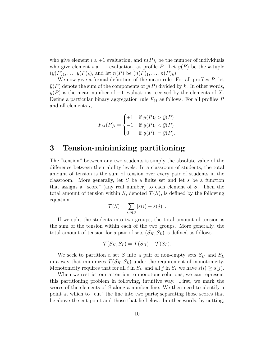who give element *i* a +1 evaluation, and  $n(P)_i$  be the number of individuals who give element *i* a  $-1$  evaluation, at profile *P*. Let  $y(P)$  be the *k*-tuple  $(y(P)_1, \ldots, y(P)_k)$ , and let  $n(P)$  be  $(n(P)_1, \ldots, n(P)_k)$ .

We now give a formal definition of the mean rule. For all profiles *P*, let  $\bar{y}(P)$  denote the sum of the components of  $y(P)$  divided by k. In other words,  $\bar{y}(P)$  is the mean number of  $+1$  evaluations received by the elements of X. Define a particular binary aggregation rule *F<sup>M</sup>* as follows. For all profiles *P* and all elements *i*,

$$
F_M(P)_i = \begin{cases} +1 & \text{if } y(P)_i > \bar{y}(P) \\ -1 & \text{if } y(P)_i < \bar{y}(P) \\ 0 & \text{if } y(P)_i = \bar{y}(P). \end{cases}
$$

## **3 Tension-minimizing partitioning**

The "tension" between any two students is simply the absolute value of the difference between their ability levels. In a classroom of students, the total amount of tension is the sum of tension over every pair of students in the classroom. More generally, let *S* be a finite set and let *s* be a function that assigns a "score" (any real number) to each element of *S*. Then the total amount of tension within *S*, denoted  $\mathcal{T}(S)$ , is defined by the following equation.

$$
\mathcal{T}(S) = \sum_{i,j \in S} |s(i) - s(j)|.
$$

If we split the students into two groups, the total amount of tension is the sum of the tension within each of the two groups. More generally, the total amount of tension for a pair of sets  $(S_H, S_L)$  is defined as follows.

$$
\mathcal{T}(S_H, S_L) = \mathcal{T}(S_H) + \mathcal{T}(S_L).
$$

We seek to partition a set *S* into a pair of non-empty sets  $S_H$  and  $S_L$ in a way that minimizes  $\mathcal{T}(S_H, S_L)$  under the requirement of monotonicity. Monotonicity requires that for all *i* in  $S_H$  and all *j* in  $S_L$  we have  $s(i) \geq s(j)$ .

When we restrict our attention to monotone solutions, we can represent this partitioning problem in following, intuitive way. First, we mark the scores of the elements of *S* along a number line. We then need to identify a point at which to "cut" the line into two parts; separating those scores that lie above the cut point and those that lie below. In other words, by cutting,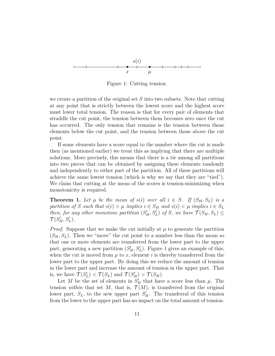

Figure 1: Cutting tension.

we create a partition of the original set *S* into two subsets. Note that cutting at any point that is strictly between the lowest score and the highest score must lower total tension. The reason is that for every pair of elements that straddle the cut point, the tension between them becomes zero once the cut has occurred. The only tension that remains is the tension between those elements below the cut point, and the tension between those above the cut point.

If some elements have a score equal to the number where the cut is made then (as mentioned earlier) we treat this as implying that there are multiple solutions. More precisely, this means that there is a tie among all partitions into two pieces that can be obtained by assigning these elements randomly and independently to either part of the partition. All of these partitions will achieve the same lowest tension (which is why we say that they are "tied"). We claim that cutting at the mean of the scores is tension-minimizing when monotonicity is required.

**Theorem 1.** Let  $\mu$  be the mean of  $s(i)$  over all  $i \in S$ . If  $(S_H, S_L)$  is a *partition of S such that*  $s(i) > \mu$  *implies*  $i \in S_H$  *and*  $s(i) < \mu$  *implies*  $i \in S_L$ *then, for any other monotone partition*  $(S'_H, S'_L)$  *of S, we have*  $\mathcal{T}(S_H, S_L) \leq$  $\mathcal{T}(S'_H, S'_L)$ *.* 

*Proof.* Suppose that we make the cut initially at  $\mu$  to generate the partition  $(S_H, S_L)$ . Then we "move" the cut point to a number less than the mean so that one or more elements are transferred from the lower part to the upper part, generating a new partition  $(S'_H, S'_L)$ . Figure 1 gives an example of this; when the cut is moved from  $\mu$  to  $x$ , element *i* is thereby transferred from the lower part to the upper part. By doing this we reduce the amount of tension in the lower part and increase the amount of tension in the upper part. That is, we have  $\mathcal{T}(S)$  $\mathcal{T}(S_L)$  and  $\mathcal{T}(S_H') > \mathcal{T}(S_H)$ .

Let *M* be the set of elements in  $S'_H$  that have a score less than  $\mu$ . The tension *within* that set *M*, that is,  $\mathcal{T}(M)$ , is transferred from the original lower part,  $S_L$ , to the new upper part  $S'_H$ . The transferral of this tension from the lower to the upper part has no impact on the total amount of tension.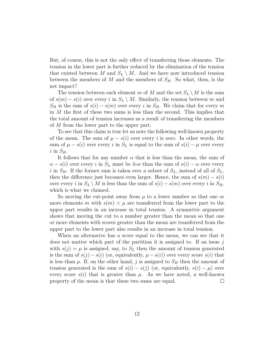But, of course, this is not the only effect of transferring those elements. The tension in the lower part is further reduced by the elimination of the tension that existed between *M* and  $S_L \setminus M$ . And we have now introduced tension between the members of *M* and the members of  $S_H$ . So what, then, is the net impact?

The tension between each element *m* of *M* and the set  $S_L \setminus M$  is the sum of  $s(m) - s(i)$  over every *i* in  $S_L \setminus M$ . Similarly, the tension between *m* and  $S_H$  is the sum of  $s(i) - s(m)$  over every *i* in  $S_H$ . We claim that for every *m* in *M* the first of these two sums is less than the second. This implies that the total amount of tension increases as a result of transferring the members of *M* from the lower part to the upper part.

To see that this claim is true let us note the following well-known property of the mean. The sum of  $\mu - s(i)$  over every *i* is zero. In other words, the sum of  $\mu - s(i)$  over every *i* in  $S_L$  is equal to the sum of  $s(i) - \mu$  over every  $i$  in  $S_H$ .

It follows that for any number  $\alpha$  that is less than the mean, the sum of  $\alpha - s(i)$  over every *i* in  $S_L$  must be *less* than the sum of  $s(i) - \alpha$  over every *i* in  $S_H$ . If the former sum is taken over a subset of  $S_L$ , instead of all of  $S_L$ , then the difference just becomes even larger. Hence, the sum of  $s(m) - s(i)$ over every *i* in  $S_L \setminus M$  is less than the sum of  $s(i) - s(m)$  over every *i* in  $S_H$ , which is what we claimed.

So moving the cut-point away from  $\mu$  to a lower number so that one or more elements *m* with  $s(m) < \mu$  are transferred from the lower part to the upper part results in an increase in total tension. A symmetric argument shows that moving the cut to a number greater than the mean so that one or more elements with scores greater than the mean are transferred from the upper part to the lower part also results in an increase in total tension.

When an alternative has a score equal to the mean, we can see that it does not matter which part of the partition it is assigned to. If an issue *j* with  $s(j) = \mu$  is assigned, say, to  $S_L$  then the amount of tension generated is the sum of  $s(j) - s(i)$  (or, equivalently,  $\mu - s(i)$ ) over every score  $s(i)$  that is less than  $\mu$ . If, on the other hand, *j* is assigned to  $S_H$  then the amount of tension generated is the sum of  $s(i) - s(j)$  (or, equivalently,  $s(i) - \mu$ ) over every score  $s(i)$  that is greater than  $\mu$ . As we have noted, a well-known property of the mean is that these two sums are equal.  $\Box$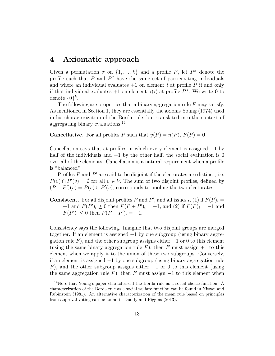## **4 Axiomatic approach**

Given a permutation  $\sigma$  on  $\{1, \ldots, k\}$  and a profile *P*, let  $P^{\sigma}$  denote the profile such that  $P$  and  $P^{\sigma}$  have the same set of participating individuals and where an individual evaluates  $+1$  on element *i* at profile  $P$  if and only if that individual evaluates  $+1$  on element  $\sigma(i)$  at profile  $P^{\sigma}$ . We write **0** to denote  $\{0\}^k$ .

The following are properties that a binary aggregation rule *F* may satisfy. As mentioned in Section 1, they are essentially the axioms Young (1974) used in his characterization of the Borda rule, but translated into the context of aggregating binary evaluations.<sup>14</sup>

**Cancellative.** For all profiles *P* such that  $y(P) = n(P)$ ,  $F(P) = 0$ .

Cancellation says that at profiles in which every element is assigned  $+1$  by half of the individuals and  $-1$  by the other half, the social evaluation is 0 over all of the elements. Cancellation is a natural requirement when a profile is "balanced".

Profiles *P* and *P'* are said to be disjoint if the electorates are distinct, i.e. *P*(*v*) ∩ *P*<sup> $\prime$ </sup>(*v*) = ∅ for all *v* ∈ *V*. The sum of two disjoint profiles, defined by  $(P + P')(v) = P(v) \cup P'(v)$ , corresponds to pooling the two electorates.

**Consistent.** For all disjoint profiles *P* and *P*<sup>'</sup>, and all issues *i*, (1) if  $F(P)_i$  = +1 and  $F(P')_i \ge 0$  then  $F(P + P')_i = +1$ , and (2) if  $F(P)_i = -1$  and  $F(P')_i \leq 0$  then  $F(P + P')_i = -1$ .

Consistency says the following. Imagine that two disjoint groups are merged together. If an element is assigned  $+1$  by one subgroup (using binary aggregation rule  $F$ ), and the other subgroup assigns either  $+1$  or 0 to this element (using the same binary aggregation rule  $F$ ), then  $F$  must assign  $+1$  to this element when we apply it to the union of these two subgroups. Conversely, if an element is assigned −1 by one subgroup (using binary aggregation rule *F*), and the other subgroup assigns either  $-1$  or 0 to this element (using the same aggregation rule  $F$ ), then  $F$  must assign  $-1$  to this element when

<sup>14</sup>Note that Young's paper characterized the Borda rule as a social choice function. A characterization of the Borda rule as a social welfare function can be found in Nitzan and Rubinstein (1981). An alternative characterization of the mean rule based on principles from approval voting can be found in Duddy and Piggins (2013).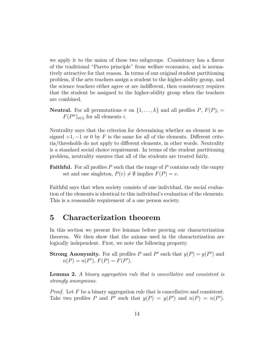we apply it to the union of these two subgroups. Consistency has a flavor of the traditional "Pareto principle" from welfare economics, and is normatively attractive for that reason. In terms of our original student partitioning problem, if the arts teachers assign a student to the higher-ability group, and the science teachers either agree or are indifferent, then consistency requires that the student be assigned to the higher-ability group when the teachers are combined.

**Neutral.** For all permutations  $\sigma$  on  $\{1, \ldots, k\}$  and all profiles  $P$ ,  $F(P)_i$  =  $F(P^{\sigma})_{\sigma(i)}$  for all elements *i*.

Neutrality says that the criterion for determining whether an element is assigned  $+1$ ,  $-1$  or 0 by *F* is the same for all of the elements. Different criteria/thresholds do not apply to different elements, in other words. Neutrality is a standard social choice requirement. In terms of the student partitioning problem, neutrality ensures that all of the students are treated fairly.

**Faithful.** For all profiles P such that the range of P contains only the empty set and one singleton,  $P(v) \neq \emptyset$  implies  $F(P) = v$ .

Faithful says that when society consists of one individual, the social evaluation of the elements is identical to this individual's evaluation of the elements. This is a reasonable requirement of a one person society.

## **5 Characterization theorem**

In this section we present five lemmas before proving our characterization theorem. We then show that the axioms used in the characterization are logically independent. First, we note the following property.

**Strong Anonymity.** For all profiles *P* and *P*' such that  $y(P) = y(P')$  and  $n(P) = n(P'), F(P) = F(P').$ 

**Lemma 2.** *A binary aggregation rule that is cancellative and consistent is strongly anonymous.*

*Proof.* Let F be a binary aggregation rule that is cancellative and consistent. Take two profiles *P* and *P*' such that  $y(P) = y(P')$  and  $n(P) = n(P')$ .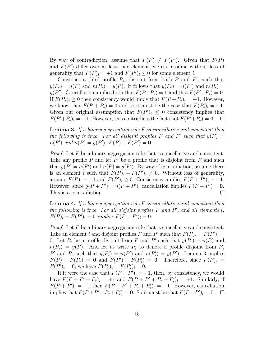By way of contradiction, assume that  $F(P) \neq F(P')$ . Given that  $F(P)$ and  $F(P')$  differ over at least one element, we can assume without loss of generality that  $F(P)_i = +1$  and  $F(P')_i \leq 0$  for some element *i*.

Construct a third profile  $P_*$ , disjoint from both  $P$  and  $P'$ , such that  $y(P_*) = n(P)$  and  $n(P_*) = y(P)$ . It follows that  $y(P_*) = n(P')$  and  $n(P_*) =$ *y*(*P*<sup>'</sup>). Cancellation implies both that  $F(P+P_*)=0$  and that  $F(P'+P_*)=0$ . If  $F(P_*)_i \geq 0$  then consistency would imply that  $F(P_+P_*)_i = +1$ . However, we know that  $F(P + P_*) = 0$  and so it must be the case that  $F(P_*)_i = -1$ . Given our original assumption that  $F(P')$ <sub>i</sub>  $\leq$  0 consistency implies that  $F(P' + P_*)_i = -1$ . However, this contradicts the fact that  $F(P' + P_*) = \mathbf{0}$ .

**Lemma 3.** *If a binary aggregation rule F is cancellative and consistent then the following is true. For all disjoint profiles*  $P$  *and*  $P'$  *such that*  $y(P) =$  $n(P')$  *and*  $n(P) = y(P')$ *,*  $F(P) + F(P') = 0$ *.* 

*Proof.* Let F be a binary aggregation rule that is cancellative and consistent. Take any profile  $P$  and let  $P'$  be a profile that is disjoint from  $P$  and such that  $y(P) = n(P')$  and  $n(P) = y(P')$ . By way of contradiction, assume there is an element *i* such that  $F(P)_i + F(P')_i \neq 0$ . Without loss of generality, assume  $F(P)_i = +1$  and  $F(P')_i \geq 0$ . Consistency implies  $F(P + P')_i = +1$ . However, since  $y(P + P') = n(P + P')$ , cancellation implies  $F(P + P') = 0$ . This is a contradiction.  $\Box$ 

**Lemma 4.** *If a binary aggregation rule F is cancellative and consistent then the following is true. For all disjoint profiles P and P* ′ *, and all elements i,*  $F(P)$ <sub>*i*</sub> =  $F(P')$ <sub>*i*</sub> = 0 *implies*  $F(P + P')$ <sub>*i*</sub> = 0*.* 

*Proof.* Let *F* be a binary aggregation rule that is cancellative and consistent. Take an element *i* and disjoint profiles *P* and *P*' such that  $F(P)_i = F(P')_i$ 0. Let  $P_*$  be a profile disjoint from  $P$  and  $P'$  such that  $y(P_*) = n(P)$  and  $n(P_*) = y(P)$ . And let us write  $P'_*$  to denote a profile disjoint from *P*, *P*<sup>'</sup> and *P*<sup>\*</sup> such that  $y(P'_*) = n(P')$  and  $n(P'_*) = y(P')$ . Lemma 3 implies  $F(P) + F(P_*) = 0$  and  $F(P') + F(P'_*) = 0$ . Therefore, since  $F(P)_i = 0$  $F(P')_i = 0$ , we have  $F(P_*)_i = F(P'_*)_i = 0$ .

If it were the case that  $F(P + P')_i = +1$ , then, by consistency, we would have  $F(P + P' + P_*)_i = +1$  and  $F(P + P' + P_* + P'_*)_i = +1$ . Similarly, if  $F(P + P')_i = -1$  then  $F(P + P' + P_* + P'_*)_i = -1$ . However, cancellation implies that  $F(P + P' + P_* + P'_*) = 0$ . So it must be that  $F(P + P')_i = 0$ .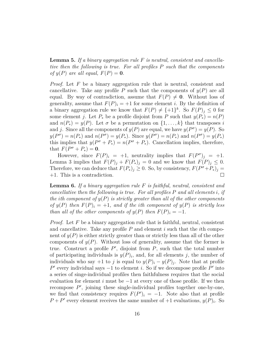**Lemma 5.** *If a binary aggregation rule F is neutral, consistent and cancellative then the following is true. For all profiles P such that the components of*  $y(P)$  *are all equal,*  $F(P) = 0$ *.* 

*Proof.* Let F be a binary aggregation rule that is neutral, consistent and cancellative. Take any profile  $P$  such that the components of  $y(P)$  are all equal. By way of contradiction, assume that  $F(P) \neq 0$ . Without loss of generality, assume that  $F(P)_i = +1$  for some element *i*. By the definition of a binary aggregation rule we know that  $F(P) \neq {\{+1\}}^k$ . So  $F(P)_j \leq 0$  for some element *j*. Let  $P_*$  be a profile disjoint from  $P$  such that  $y(P_*) = n(P)$ and  $n(P_*) = y(P)$ . Let  $\sigma$  be a permutation on  $\{1, \ldots, k\}$  that transposes *i* and *j*. Since all the components of  $y(P)$  are equal, we have  $y(P^{\sigma}) = y(P)$ . So  $y(P^{\sigma}) = n(P_*)$  and  $n(P^{\sigma}) = y(P_*)$ . Since  $y(P^{\sigma}) = n(P_*)$  and  $n(P^{\sigma}) = y(P_*)$ this implies that  $y(P^{\sigma} + P_*) = n(P^{\sigma} + P_*)$ . Cancellation implies, therefore, that  $F(P^{\sigma} + P_*) = 0$ .

However, since  $F(P)_i = +1$ , neutrality implies that  $F(P^{\sigma})_j = +1$ . Lemma 3 implies that  $F(P)_j + F(P_*)_j = 0$  and we know that  $F(P)_j \leq 0$ . Therefore, we can deduce that  $F(P_*)^j \geq 0$ . So, by consistency,  $F(P^{\sigma}+P_*)^j = 0$ +1. This is a contradiction.  $\Box$ 

**Lemma 6.** *If a binary aggregation rule F is faithful, neutral, consistent and cancellative then the following is true. For all profiles P and all elements i, if the i***th** component of  $y(P)$  *is strictly greater than all of the other components of*  $y(P)$  *then*  $F(P)_i = +1$ *, and if the ith component of*  $y(P)$  *is strictly less than all of the other components of*  $y(P)$  *then*  $F(P)_i = -1$ *.* 

*Proof.* Let F be a binary aggregation rule that is faithful, neutral, consistent and cancellative. Take any profile *P* and element *i* such that the *i*th component of  $y(P)$  is either strictly greater than or strictly less than all of the other components of  $y(P)$ . Without loss of generality, assume that the former is true. Construct a profile  $P'$ , disjoint from  $P$ , such that the total number of participating individuals is  $y(P)_i$ , and, for all elements *j*, the number of individuals who say  $+1$  to *j* is equal to  $y(P)_i - y(P)_j$ . Note that at profile  $P'$  every individual says  $-1$  to element *i*. So if we decompose profile  $P'$  into a series of singe-individual profiles then faithfulness requires that the social evaluation for element *i* must be  $-1$  at every one of those profile. If we then recompose P', joining these single-individual profiles together one-by-one, we find that consistency requires  $F(P')_i = -1$ . Note also that at profile  $P + P'$  every element receives the same number of  $+1$  evaluations,  $y(P)_i$ . So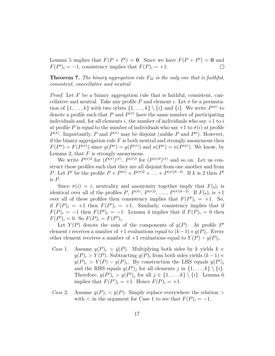Lemma 5 implies that  $F(P + P') = 0$ . Since we have  $F(P + P') = 0$  and  $F(P')_i = -1$ , consistency implies that  $F(P)_i = +1$ .  $\Box$ 

**Theorem 7.** *The binary aggregation rule*  $F_M$  *is the only one that is faithful, consistent, cancellative and neutral.*

*Proof.* Let F be a binary aggregation rule that is faithful, consistent, cancellative and neutral. Take any profile  $P$  and element *i*. Let  $\sigma$  be a permutation of  $\{1, \ldots, k\}$  with two orbits  $\{1, \ldots, k\} \setminus \{i\}$  and  $\{i\}$ . We write  $P^{(\sigma)}$  to denote a profile such that  $P$  and  $P<sup>(\sigma)</sup>$  have the same number of participating individuals and, for all elements  $i$ , the number of individuals who say  $+1$  to  $i$ at profile *P* is equal to the number of individuals who say  $+1$  to  $\sigma(i)$  at profile  $P^{(\sigma)}$ . Importantly, *P* and  $P^{(\sigma)}$  may be disjoint (unlike *P* and  $P^{\sigma}$ ). However, if the binary aggregation rule  $F$  is both neutral and strongly anonymous then  $F(P^{\sigma}) = F(P^{(\sigma)})$  since  $y(P^{\sigma}) = y(P^{(\sigma)})$  and  $n(P^{\sigma}) = n(P^{(\sigma)})$ . We know, by Lemma 2, that *F* is strongly anonymous.

We write  $P^{(\sigma)}$  for  $(P^{(\sigma)})^{(\sigma)}$ ,  $P^{(\sigma)3}$  for  $(P^{(\sigma)2})^{(\sigma)}$  and so on. Let us construct these profiles such that they are all disjoint from one another and from *P*. Let *P*<sup>'</sup> be the profile  $P + P^{(\sigma)} + P^{(\sigma)2} + \ldots + P^{(\sigma)(k-2)}$ . If *k* is 2 then *P*<sup>'</sup> is *P*.

Since  $\sigma(i) = i$ , neutrality and anonymity together imply that  $F(\cdot)_i$  is identical over all of the profiles *P*,  $P^{(\sigma)}$ ,  $P^{(\sigma)}$ , ...,  $P^{(\sigma)(k-2)}$ . If  $F(\cdot)_i$  is +1 over all of these profiles then consistency implies that  $F(P')_i = +1$ . So, if  $F(P)_i = +1$  then  $F(P')_i = +1$ . Similarly, consistency implies that if  $F(P)_i = -1$  then  $F(P')_i = -1$ . Lemma 4 implies that if  $F(P)_i = 0$  then  $F(P')_i = 0$ . So  $F(P)_i = F(P')_i$ .

Let  $Y(P)$  denote the sum of the components of  $y(P)$ . At profile P' element *i* receives a number of  $+1$  evaluations equal to  $(k-1) \times y(P)$ *i*. Every other element receives a number of  $+1$  evaluations equal to  $Y(P) - y(P)_{i}$ .

- *Case* 1. Assume  $y(P)_i > \bar{y}(P)$ . Multiplying both sides by *k* yields  $k \times$  $y(P)_i > Y(P)$ . Subtracting  $y(P)_i$  from both sides yields  $(k-1) \times$  $y(P)_i > Y(P) - y(P)_i$ . By construction the LHS equals  $y(P')_i$ and the RHS equals  $y(P')_j$  for all elements *j* in  $\{1, \ldots, k\} \setminus \{i\}$ . Therefore,  $y(P')_i > y(P')_j$  for all  $j \in \{1, ..., k\} \setminus \{i\}$ . Lemma 6 implies that  $F(P')_i = +1$ . Hence  $F(P)_i = +1$ .
- *Case* 2. Assume  $y(P)_i < \bar{y}(P)$ . Simply replace everywhere the relation  $\geq$ with  $\langle$  in the argument for Case 1 to see that  $F(P)_i = -1$ .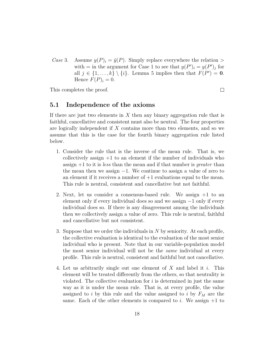*Case* 3. Assume  $y(P)_i = \bar{y}(P)$ . Simply replace everywhere the relation  $\geq$ with  $=$  in the argument for Case 1 to see that  $y(P')_i = y(P')_j$  for all  $j \in \{1, \ldots, k\} \setminus \{i\}$ . Lemma 5 implies then that  $F(P') = 0$ . Hence  $F(P)_i = 0$ .

This completes the proof.

#### $\Box$

### **5.1 Independence of the axioms**

If there are just two elements in *X* then any binary aggregation rule that is faithful, cancellative and consistent must also be neutral. The four properties are logically independent if *X* contains more than two elements, and so we assume that this is the case for the fourth binary aggregation rule listed below.

- 1. Consider the rule that is the inverse of the mean rule. That is, we collectively assign  $+1$  to an element if the number of individuals who assign +1 to it is *less* than the mean and if that number is *greater* than the mean then we assign  $-1$ . We continue to assign a value of zero to an element if it receives a number of  $+1$  evaluations equal to the mean. This rule is neutral, consistent and cancellative but not faithful.
- 2. Next, let us consider a consensus-based rule. We assign +1 to an element only if every individual does so and we assign  $-1$  only if every individual does so. If there is any disagreement among the individuals then we collectively assign a value of zero. This rule is neutral, faithful and cancellative but not consistent.
- 3. Suppose that we order the individuals in *N* by seniority. At each profile, the collective evaluation is identical to the evaluation of the most senior individual who is present. Note that in our variable-population model the most senior individual will not be the *same* individual at every profile. This rule is neutral, consistent and faithful but not cancellative.
- 4. Let us arbitrarily single out one element of *X* and label it *i*. This element will be treated differently from the others, so that neutrality is violated. The collective evaluation for *i* is determined in just the same way as it is under the mean rule. That is, at every profile, the value assigned to *i* by this rule and the value assigned to *i* by *F<sup>M</sup>* are the same. Each of the other elements is compared to  $i$ . We assign  $+1$  to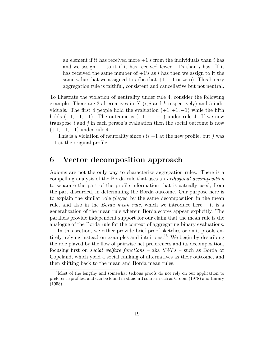an element if it has received more  $+1$ 's from the individuals than *i* has and we assign  $-1$  to it if it has received fewer  $+1$ 's than *i* has. If it has received the same number of  $+1$ 's as *i* has then we assign to it the same value that we assigned to *i* (be that  $+1$ ,  $-1$  or zero). This binary aggregation rule is faithful, consistent and cancellative but not neutral.

To illustrate the violation of neutrality under rule 4, consider the following example. There are 3 alternatives in  $X(i, j)$  and  $k$  respectively) and 5 individuals. The first 4 people hold the evaluation  $(+1, +1, -1)$  while the fifth holds  $(+1, -1, +1)$ . The outcome is  $(+1, -1, -1)$  under rule 4. If we now transpose *i* and *j* in each person's evaluation then the social outcome is now (+1*,* +1*,* −1) under rule 4.

This is a violation of neutrality since *i* is +1 at the new profile, but *j* was −1 at the original profile.

## **6 Vector decomposition approach**

Axioms are not the only way to characterize aggregation rules. There is a compelling analysis of the Borda rule that uses an *orthogonal decomposition* to separate the part of the profile information that is actually used, from the part discarded, in determining the Borda outcome. Our purpose here is to explain the similar role played by the same decomposition in the mean rule, and also in the *Borda mean rule*, which we introduce here – it is a generalization of the mean rule wherein Borda scores appear explicitly. The parallels provide independent support for our claim that the mean rule is the analogue of the Borda rule for the context of aggregating binary evaluations.

In this section, we either provide brief proof sketches or omit proofs entirely, relying instead on examples and intuitions.<sup>15</sup> We begin by describing the role played by the flow of pairwise net preferences and its decomposition, focusing first on *social welfare functions* – aka *SWF*s – such as Borda or Copeland, which yield a social ranking of alternatives as their outcome, and then shifting back to the mean and Borda mean rules.

<sup>15</sup>Most of the lengthy and somewhat tedious proofs do not rely on our application to preference profiles, and can be found in standard sources such as Croom (1978) and Harary (1958).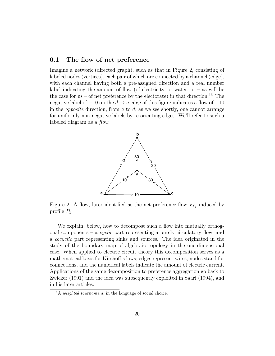#### **6.1 The flow of net preference**

Imagine a network (directed graph), such as that in Figure 2, consisting of labeled nodes (vertices), each pair of which are connected by a channel (edge), with each channel having both a pre-assigned direction and a real number label indicating the amount of flow (of electricity, or water,  $or - as$  will be the case for us – of net preference by the electorate) in that direction.<sup>16</sup> The negative label of  $-10$  on the  $d \rightarrow a$  edge of this figure indicates a flow of  $+10$ in the *opposite* direction, from *a* to *d*; as we see shortly, one cannot arrange for uniformly non-negative labels by re-orienting edges. We'll refer to such a labeled diagram as a *flow*.



Figure 2: A flow, later identified as the net preference flow  $\mathbf{v}_{P_1}$  induced by profile  $P_1$ .

We explain, below, how to decompose such a flow into mutually orthogonal components – a *cyclic* part representing a purely circulatory flow, and a *cocyclic* part representing sinks and sources. The idea originated in the study of the boundary map of algebraic topology in the one-dimensional case. When applied to electric circuit theory this decomposition serves as a mathematical basis for Kirchoff's laws; edges represent wires, nodes stand for connections, and the numerical labels indicate the amount of electric current. Applications of the same decomposition to preference aggregation go back to Zwicker (1991) and the idea was subsequently exploited in Saari (1994), and in his later articles.

<sup>16</sup>A *weighted tournament*, in the language of social choice.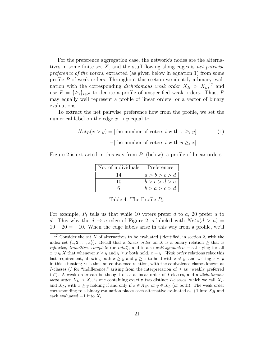For the preference aggregation case, the network's nodes are the alternatives in some finite set *X*, and the stuff flowing along edges is *net pairwise preference of the voters*, extracted (as given below in equation 1) from some profile *P* of weak orders. Throughout this section we identify a binary evaluation with the corresponding *dichotomous weak order*  $X_H > X_L$ <sup>17</sup> and use  $P = \{\geq_i\}_{i \in \mathbb{N}}$  to denote a profile of unspecified weak orders. Thus, P may equally well represent a profile of linear orders, or a vector of binary evaluations.

To extract the net pairwise preference flow from the profile, we set the numerical label on the edge  $x \to y$  equal to:

$$
Net_P(x > y) = [\text{the number of voters } i \text{ with } x \geq_i y] \tag{1}
$$

$$
-[\text{the number of voters } i \text{ with } y \geq_i x].
$$

Figure 2 is extracted in this way from  $P_1$  (below), a profile of linear orders.

| No. of individuals   Preferences |               |
|----------------------------------|---------------|
| 14                               | a > b > c > d |
| 10                               | b > c > d > a |
|                                  | b > a > c > d |

Table 4: The Profile  $P_1$ .

For example,  $P_1$  tells us that while 10 voters prefer *d* to *a*, 20 prefer *a* to *d*. This why the  $d \to a$  edge of Figure 2 is labeled with  $Net_P(d > a)$  $10 - 20 = -10$ . When the edge labels arise in this way from a profile, we'll

<sup>&</sup>lt;sup>17</sup> Consider the set *X* of alternatives to be evaluated (identified, in section 2, with the index set  $\{1, 2, \ldots, k\}$ . Recall that a *linear order* on *X* is a binary relation  $\geq$  that is *reflexive, transitive, complete* (or *total*), and is also *anti-symmetric* – satisfying for all *x, y* ∈ *X* that whenever *x* ≥ *y* and *y* ≥ *x* both hold, *x* = *y*. *Weak order* relations relax this last requirement, allowing both  $x \geq y$  and  $y \geq x$  to hold with  $x \neq y$ , and writing  $x \sim y$ in this situation;  $\sim$  is thus an equivalence relation, with the equivalence classes known as *I*-classes (*I* for "indifference," arising from the interpretation of  $\geq$  as "weakly preferred to"). A weak order can be thought of as a linear order of *I*-classes, and a *dichotomous weak order*  $X_H > X_L$  is one containing exactly two distinct *I*-classes, which we call  $X_H$ and  $X_L$ , with  $x \geq y$  holding if and only if  $x \in X_H$ , or  $y \in X_L$  (or both). The weak order corresponding to a binary evaluation places each alternative evaluated as  $+1$  into  $X_H$  and each evaluated  $-1$  into  $X_L$ .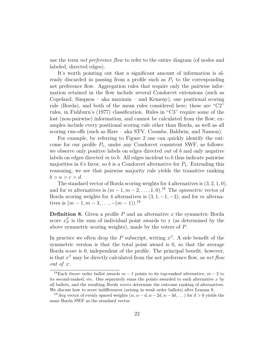use the term *net preference flow* to refer to the entire diagram (of nodes and labeled, directed edges).

It's worth pointing out that a significant amount of information is already discarded in passing from a profile such as  $P_1$  to the corresponding net preference flow. Aggregation rules that require only the pairwise information retained in the flow include several Condorcet extensions (such as Copeland, Simpson – aka maximin – and Kemeny), one positional scoring rule (Borda), and both of the mean rules considered here; these are "C2" rules, in Fishburn's (1977) classification. Rules in "C3" require some of the lost (non-pairwise) information, and cannot be calculated from the flow; examples include every positional scoring rule other than Borda, as well as all scoring run-offs (such as Hare – aka STV, Coombs, Baldwin, and Nanson).

For example, by referring to Figure 2 one can quickly identify the outcome for our profile  $P_1$ , under any Condorcet consistent SWF, as follows: we observe only positive labels on edges directed *out* of *b* and only negative labels on edges directed *in* to *b*. All edges incident to *b* thus indicate pairwise majorities in  $b$ 's favor, so  $b$  is a Condorcet alternative for  $P_1$ . Extending this reasoning, we see that pairwise majority rule yields the transitive ranking  $b > a > c > d$ .

The standard vector of Borda scoring weights for 4 alternatives is (3*,* 2*,* 1*,* 0), and for *m* alternatives is  $(m-1, m-2, \ldots, 1, 0)$ .<sup>18</sup> The *symmetric* vector of Borda scoring weights for 4 alternatives is  $(3, 1, -1, -3)$ ; and for *m* alternatives is  $(m-1, m-3, \ldots, -(m-1))$ .<sup>19</sup>

**Definition 8.** Given a profile *P* and an alternative *x* the symmetric Borda score  $x^\beta_F$  $P_P^p$  is the sum of individual point awards to *x* (as determined by the above symmetric scoring weights), made by the voters of *P*.

In practice we often drop the *P* subscript, writing  $x^{\beta}$ . A side benefit of the symmetric version is that the total point award is 0, so that the average Borda score is 0, independent of the profile. The principal benefit, however, is that  $x^{\beta}$  may be directly calculated from the net preference flow, as *net flow out of x*:

<sup>&</sup>lt;sup>18</sup>Each *linear* order ballot awards  $m - 1$  points to its top-ranked alternative,  $m - 2$  to its second-ranked, etc. One separately sums the points awarded to each alternative *x* by all ballots, and the resulting *Borda scores* determine the outcome ranking of alternatives. We discuss how to score indifferences (arising in weak order ballots) after Lemma 9.

<sup>&</sup>lt;sup>19</sup>*Any* vector of evenly spaced weights  $(w, w - d, w - 2d, w - 3d, ...)$  for  $d > 0$  yields the same Borda SWF as the standard vector.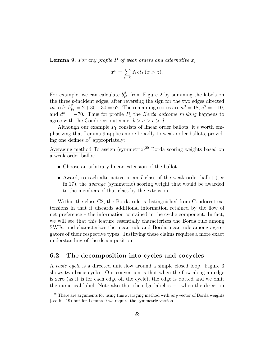**Lemma 9.** For any profile  $P$  of weak orders and alternative  $x$ ,

$$
x^{\beta} = \sum_{z \in X} Net_P(x > z).
$$

For example, we can calculate  $b_P^{\beta}$  $P_{P_1}^{\beta}$  from Figure 2 by summing the labels on the three *b*-incident edges, after reversing the sign for the two edges directed *in* to *b*:  $b_{P_1}^{\beta} = 2 + 30 + 30 = 62$ . The remaining scores are  $a^{\beta} = 18$ ,  $c^{\beta} = -10$ , and  $d^{\beta} = -70$ . Thus for profile  $P_1$  the *Borda outcome ranking* happens to agree with the Condorcet outcome:  $b > a > c > d$ .

Although our example  $P_1$  consists of linear order ballots, it's worth emphasizing that Lemma 9 applies more broadly to weak order ballots, providing one defines  $x^{\beta}$  appropriately:

Averaging method To assign (symmetric)<sup>20</sup> Borda scoring weights based on a weak order ballot:

- Choose an arbitrary linear extension of the ballot.
- Award, to each alternative in an *I*-class of the weak order ballot (see fn.17), the *average* (symmetric) scoring weight that would be awarded to the members of that class by the extension.

Within the class C2, the Borda rule is distinguished from Condorcet extensions in that it discards additional information retained by the flow of net preference – the information contained in the cyclic component. In fact, we will see that this feature essentially characterizes the Borda rule among SWFs, and characterizes the mean rule and Borda mean rule among aggregators of their respective types. Justifying these claims requires a more exact understanding of the decomposition.

#### **6.2 The decomposition into cycles and cocycles**

A *basic cycle* is a directed unit flow around a simple closed loop. Figure 3 shows two basic cycles. Our convention is that when the flow along an edge is zero (as it is for each edge off the cycle), the edge is dotted and we omit the numerical label. Note also that the edge label is −1 when the direction

<sup>20</sup>There are arguments for using this averaging method with *any* vector of Borda weights (see fn. 19) but for Lemma 9 we require the symmetric version.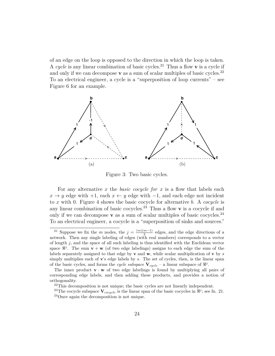of an edge on the loop is opposed to the direction in which the loop is taken. A cycle is any linear combination of basic cycles.<sup>21</sup> Thus a flow **v** is a cycle if and only if we can decompose  $\bf{v}$  as a sum of scalar multiples of basic cycles.<sup>22</sup> To an electrical engineer, a cycle is a "superposition of loop currents" – see Figure 6 for an example.



Figure 3: Two basic cycles.

For any alternative *x* the *basic cocycle for x* is a flow that labels each  $x \rightarrow y$  edge with  $+1$ , each  $x \leftarrow y$  edge with  $-1$ , and each edge not incident to *x* with 0. Figure 4 shows the basic cocycle for alternative *b*. A *cocycle* is any linear combination of basic cocycles.<sup>23</sup> Thus a flow  $\bf{v}$  is a cocycle if and only if we can decompose **v** as a sum of scalar multiples of basic cocycles.<sup>24</sup> To an electrical engineer, a cocycle is a "superposition of sinks and sources."

<sup>&</sup>lt;sup>21</sup> Suppose we fix the *m* nodes, the  $j = \frac{(m)(m-1)}{2}$  $\frac{m-1}{2}$  edges, and the edge directions of a network. Then any single labeling of edges (with real numbers) corresponds to a vector of length *j*, and the space of all such labeling is thus identified with the Euclidean vector space  $\mathbb{R}^j$ . The sum  $\mathbf{v} + \mathbf{w}$  (of two edge labelings) assigns to each edge the sum of the labels separately assigned to that edge by **v** and **w**, while scalar multiplication of **v** by *s* simply multiplies each of **v**'s edge labels by *s*. The set of cycles, then, is the linear span of the basic cycles, and forms the *cycle subspace*  $V_{cycle}$  – a linear subspace of  $\mathbb{R}^{j}$ .

The inner product  $\mathbf{v} \cdot \mathbf{w}$  of two edge labelings is found by multiplying all pairs of corresponding edge labels, and then adding these products, and provides a notion of orthogonality.

<sup>22</sup>This decomposition is not unique; the basic cycles are not linearly independent.

<sup>&</sup>lt;sup>23</sup>The cocycle subspace  $V_{cocycle}$  is the linear span of the basic cocycles in  $\Re^j$ ; see fn. 21. <sup>24</sup>Once again the decomposition is not unique.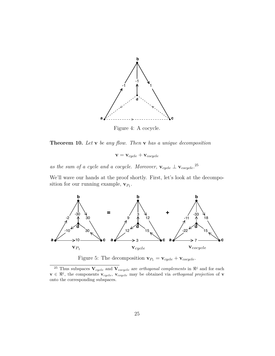

Figure 4: A cocycle.

**Theorem 10.** *Let* **v** *be any flow. Then* **v** *has a unique decomposition*

 $\mathbf{v} = \mathbf{v}_{cycle} + \mathbf{v}_{cocycle}$ 

as the sum of a cycle and a cocycle. Moreover,  $\mathbf{v}_{cycle} \perp \mathbf{v}_{cocycle}$ .<sup>25</sup>

We'll wave our hands at the proof shortly. First, let's look at the decomposition for our running example,  $\mathbf{v}_{P_1}$ .



Figure 5: The decomposition  $\mathbf{v}_{P_1} = \mathbf{v}_{cycle} + \mathbf{v}_{cocycle}$ .

<sup>&</sup>lt;sup>25</sup> Thus subspaces  $V_{cycle}$  and  $V_{cocycle}$  are *orthogonal complements* in  $\mathbb{R}^j$  and for each  $\mathbf{v} \in \mathbb{R}^j$ , the components  $\mathbf{v}_{cycle}$ ,  $\mathbf{v}_{cycle}$  may be obtained via *orthogonal projection* of  $\mathbf{v}$ onto the corresponding subspaces.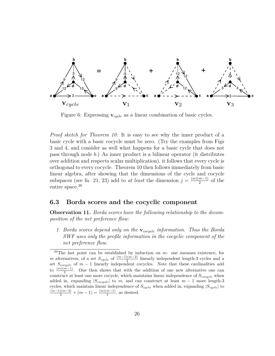

Figure 6: Expressing **v***cycle* as a linear combination of basic cycles.

*Proof sketch for Theorem 10:* It is easy to see why the inner product of a basic cycle with a basic cocycle must be zero. (Try the examples from Figs 3 and 4, and consider as well what happens for a basic cycle that does not pass through node *b*.) As inner product is a bilinear operator (it distributes over addition and respects scalar multiplication), it follows that every cycle is orthogonal to every cocycle. Theorem 10 then follows immediately from basic linear algebra, after showing that the dimensions of the cycle and cocycle subspaces (see fn. 21, 23) add to *at least* the dimension  $j = \frac{(m)(m-1)}{2}$  $\frac{m-1}{2}$  of the entire space.<sup>26</sup>

#### **6.3 Borda scores and the cocyclic component**

**Observation 11.** *Borda scores have the following relationship to the decomposition of the net preference flow:*

*1. Borda scores depend only on the* **v***cocycle information. Thus the Borda SWF uses only the profile information in the cocyclic component of the net preference flow.*

<sup>26</sup>The last point can be established by induction on *m*: one assumes existence, for *m* alternatives, of a set  $S_{cycle}$  of  $\frac{(m-1)(m-2)}{2}$  linearly independent length-3 cycles and a set  $S_{cocycle}$  of  $m-1$  linearly independent cocycles. Note that these cardinalities add to  $\frac{(m)(m-1)}{2}$ . One then shows that with the addition of one new alternative one can construct at least one more cocycle, which maintains linear independence of *Scocycle* when added in, expanding  $|S_{cocycle}|$  to *m*, and can construct at least  $m-1$  more length-3 cycles, which maintain linear independence of *Scycle* when added in, expanding |*Scycle*| to  $\frac{(m-1)(m-2)}{2} + (m-1) = \frac{(m)(m-1)}{2}$ , as desired.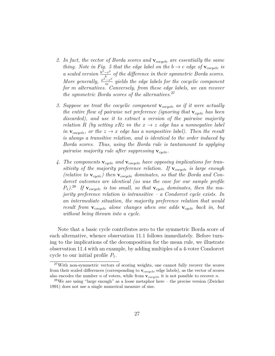- *2. In fact, the vector of Borda scores and* **v***cocycle are essentially the same thing. Note in Fig. 5 that the edge label on the*  $b \rightarrow c$  *edge of*  $\mathbf{v}_{cocycle}$  *is a* scaled version  $\frac{b^{\beta}-c^{\beta}}{4}$  $\frac{e^{-c\rho}}{4}$  *of the difference in their symmetric Borda scores. More generally,*  $\frac{x^{\beta}-z^{\beta}}{m}$  $\frac{-z^{\nu}}{m}$  yields the edge labels for the cocyclic component *for m alternatives. Conversely, from these edge labels, we can recover the symmetric Borda scores of the alternatives.*<sup>27</sup>
- *3. Suppose we treat the cocyclic component* **v***cocycle as if it were actually the entire flow of pairwise net preference (ignoring that* **v***cycle has been discarded), and use it to extract a version of the pairwise majority relation R (by setting*  $xRz \Leftrightarrow$  *the*  $x \rightarrow z$  *edge has a nonnegative label in*  $\mathbf{v}_{\text{cocycle}}$ , or the  $z \to x$  edge has a nonpositive label). Then the result *is always a transitive relation, and is identical to the order induced by Borda scores. Thus, using the Borda rule is tantamount to applying pairwise majority rule after suppressing* **v***cycle.*
- *4. The components* **v***cycle and* **v***cocycle have opposing implications for transitivity of the majority preference relation. If* **v***cocycle is large enough (relative to* **v***cycle) then* **v***cocycle dominates, so that the Borda and Condorcet outcomes are identical (as was the case for our sample profile P*1*).*<sup>28</sup> *If* **v***cocycle is too small, so that* **v***cycle dominates, then the majority preference relation is intransitive – a Condorcet cycle exists. In an intermediate situation, the majority preference relation that would result from* **v***cocycle alone changes when one adds* **v***cycle back in, but without being thrown into a cycle.*

Note that a basic cycle contributes zero to the symmetric Borda score of each alternative, whence observation 11.1 follows immediately. Before turning to the implications of the decomposition for the mean rule, we illustrate observation 11.4 with an example, by adding multiples of a 4-voter Condorcet cycle to our initial profile  $P_1$ .

<sup>27</sup>With non-symmetric vectors of scoring weights, one cannot fully recover the scores from their scaled differences (corresponding to **v***cocycle* edge labels), as the vector of scores also encodes the number *n* of voters, while from **v***cocycle* it is not possible to recover *n*.

<sup>28</sup>We are using "large enough" as a loose metaphor here – the precise version (Zwicker 1991) does not use a single numerical measure of size.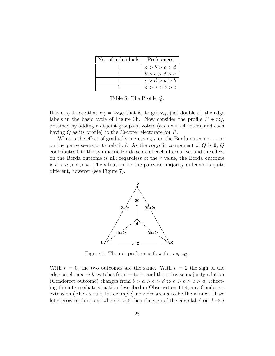| No. of individuals   Preferences |               |
|----------------------------------|---------------|
|                                  | a > b > c > d |
|                                  | b > c > d > a |
|                                  | c > d > a > b |
|                                  | d > a > b > c |

Table 5: The Profile *Q*.

It is easy to see that  $\mathbf{v}_Q = 2\mathbf{v}_{3b}$ ; that is, to get  $\mathbf{v}_Q$ , just double all the edge labels in the basic cycle of Figure 3b. Now consider the profile  $P + rQ$ , obtained by adding *r* disjoint groups of voters (each with 4 voters, and each having *Q* as its profile) to the 30-voter electorate for *P*.

What is the effect of gradually increasing *r* on the Borda outcome *. . .* or on the pairwise-majority relation? As the cocyclic component of *Q* is **0**, *Q* contributes 0 to the symmetric Borda score of each alternative, and the effect on the Borda outcome is nil; regardless of the *r* value, the Borda outcome is  $b > a > c > d$ . The situation for the pairwise majority outcome is quite different, however (see Figure 7).



Figure 7: The net preference flow for  $\mathbf{v}_{P_1+rQ}$ .

With  $r = 0$ , the two outcomes are the same. With  $r = 2$  the sign of the edge label on  $a \to b$  switches from  $-$  to  $+$ , and the pairwise majority relation (Condorcet outcome) changes from  $b > a > c > d$  to  $a > b > c > d$ , reflecting the intermediate situation described in Observation 11.4; any Condorcet extension (Black's rule, for example) now declares *a* to be the winner. If we let *r* grow to the point where  $r \geq 6$  then the sign of the edge label on  $d \to a$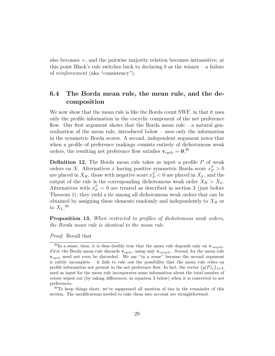also becomes +, and the pairwise majority relation becomes intransitive; at this point Black's rule switches back to declaring  $b$  as the winner – a failure of *reinforcement* (aka "consistency").

## **6.4 The Borda mean rule, the mean rule, and the decomposition**

We now show that the mean rule is like the Borda count SWF, in that it uses only the profile information in the cocyclic component of the net preference flow. Our first argument shows that the Borda mean rule – a natural generalization of the mean rule, introduced below – uses only the information in the symmetric Borda scores. A second, independent argument notes that when a profile of preference rankings consists entirely of dichotomous weak orders, the resulting net preference flow satisfies  $v_{cycle} = 0.^{29}$ 

**Definition 12.** The Borda mean rule takes as input a profile P of weak orders on *X*. Alternatives *x* having positive symmetric Borda score  $x_P^{\beta} > 0$ are placed in  $X_H$ , those with negative score  $x_P^{\beta} < 0$  are placed in  $X_L$ , and the output of the rule is the corresponding dichotomous weak order  $X_H > X_L$ . Alternatives with  $x_P^{\beta} = 0$  are treated as described in section 3 (just before Theorem 1); they yield a tie among all dichotomous weak orders that can be obtained by assigning these elements randomly and independently to  $X_H$  or to  $X_L$ .<sup>30</sup>

**Proposition 13.** *When restricted to profiles of dichotomous weak orders, the Borda mean rule is identical to the mean rule.*

*Proof.* Recall that

 $^{29}$ In a sense, then, it is thus doubly true that the mean rule depends only on  $v_{cocycle}$ . *First*, the Borda mean rule discards **v***cycle*, using only **v***cocycle*. *Second*, for the mean rule **v***cycle* need not even be discarded. We say "in a sense" because the second argument is subtly incomplete – it fails to rule out the possibility that the mean rule relies on profile information not present in the net preference flow. In fact, the vector  $\{y(P)_x\}_{x\in X}$ used as input for the mean rule incorporates some information about the total number of voters wiped out (by taking differences, in equation 3 below) when it is converted to net preferences.

<sup>30</sup>To keep things short, we've suppressed all mention of ties in the remainder of this section. The modifications needed to take them into account are straightforward.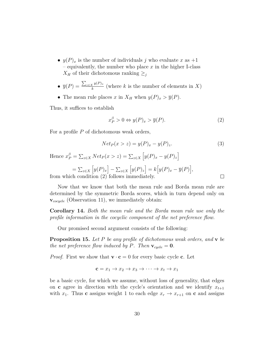- $y(P)_x$  is the number of individuals *j* who evaluate *x* as  $+1$ – equivalently, the number who place *x* in the higher I-class *X<sub>H</sub>* of their dichotomous ranking  $\geq_j$
- $\bullet$   $\overline{y}(P) = \frac{\sum_{z \in X} y(P)_z}{k}$  $\frac{d}{k}$ <sup>*k*</sup><sup>*y*(*x*</sup>)<sup>*z*</sup></sup> (where *k* is the number of elements in *X*)
- The mean rule places *x* in  $X_H$  when  $y(P)_x > \overline{y}(P)$ .

Thus, it suffices to establish

from wh

$$
x_P^{\beta} > 0 \Leftrightarrow y(P)_x > \overline{y}(P). \tag{2}
$$

For a profile *P* of dichotomous weak orders,

$$
Net_P(x > z) = y(P)_x - y(P)_z.
$$
\n
$$
(3)
$$

Hence  $x_P^{\beta} = \sum_{z \in X} N e t_P(x > z) = \sum_{z \in X} [y(P)_x - y(P)_z]$ 

$$
= \sum_{z \in X} \left[ y(P)_x \right] - \sum_{z \in X} \left[ y(P)_z \right] = k \left[ y(P)_x - \overline{y}(P) \right],
$$
  
ich condition (2) follows immediately.

Now that we know that both the mean rule and Borda mean rule are determined by the symmetric Borda scores, which in turn depend only on **v***cocycle* (Observation 11), we immediately obtain:

**Corollary 14.** *Both the mean rule and the Borda mean rule use only the profile information in the cocyclic component of the net preference flow.*

Our promised second argument consists of the following:

**Proposition 15.** *Let P be any profile of dichotomous weak orders, and* **v** *be the net preference flow induced by P. Then*  $\mathbf{v}_{cycle} = \mathbf{0}$ *.* 

*Proof.* First we show that  $\mathbf{v} \cdot \mathbf{c} = 0$  for every basic cycle **c**. Let

$$
\mathbf{c} = x_1 \to x_2 \to x_3 \to \cdots \to x_t \to x_1
$$

be a basic cycle, for which we assume, without loss of generality, that edges on **c** agree in direction with the cycle's orientation and we identify  $x_{t+1}$ with  $x_1$ . Thus **c** assigns weight 1 to each edge  $x_r \to x_{r+1}$  on **c** and assigns

 $\Box$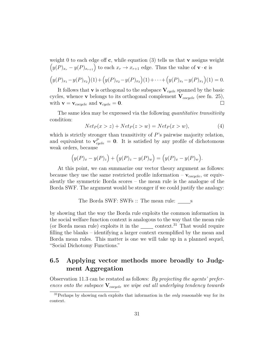weight 0 to each edge off **c**, while equation (3) tells us that **v** assigns weight  $(y(P)_{x_r} - y(P)_{x_{r+1}})$  to each  $x_r \to x_{r+1}$  edge. Thus the value of **v** · **c** is

$$
(y(P)_{x_1} - y(P)_{x_2})(1) + (y(P)_{x_2} - y(P)_{x_3})(1) + \cdots + (y(P)_{x_t} - y(P)_{x_1})(1) = 0.
$$

It follows that **v** is orthogonal to the subspace  $V_{cycle}$  spanned by the basic cycles, whence **v** belongs to its orthogonal complement **V***cocycle* (see fn. 25), with  $\mathbf{v} = \mathbf{v}_{cocycle}$  and  $\mathbf{v}_{cycle} = \mathbf{0}$ .  $\Box$ 

The same idea may be expressed via the following *quantitative transitivity* condition:

$$
Net_P(x > z) + Net_P(z > w) = Net_P(x > w),
$$
\n<sup>(4)</sup>

which is strictly stronger than transitivity of *P*'s pairwise majority relation, and equivalent to  $\mathbf{v}_{cycle}^P = \mathbf{0}$ . It is satisfied by any profile of dichotomous weak orders, because

$$
(y(P)_x - y(P)_z) + (y(P)_z - y(P)_w) = (y(P)_x - y(P)_w).
$$

At this point, we can summarize our vector theory argument as follows: because they use the same restricted profile information  $-\mathbf{v}_{cocycle}$ , or equivalently the symmetric Borda scores – the mean rule is the analogue of the Borda SWF. The argument would be stronger if we could justify the analogy:

The Borda SWF: SWFs :: The mean rule: s

by showing that the way the Borda rule exploits the common information in the social welfare function context is analogous to the way that the mean rule (or Borda mean rule) exploits it in the  $\_\_\_\_$  context.<sup>31</sup> That would require filling the blanks – identifying a larger context exemplified by the mean and Borda mean rules. This matter is one we will take up in a planned sequel, "Social Dichotomy Functions."

## **6.5 Applying vector methods more broadly to Judgment Aggregation**

Observation 11.3 can be restated as follows: *By projecting the agents' preferences onto the subspace* **V***cocycle we wipe out all underlying tendency towards*

<sup>31</sup>Perhaps by showing each exploits that information in the *only* reasonable way for its context.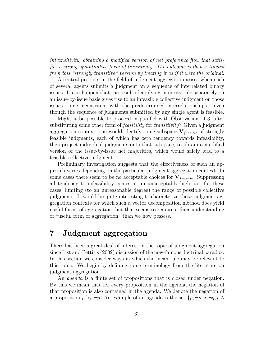*intransitivity, obtaining a modified version of net preference flow that satisfies a strong, quantitative form of transitivity. The outcome is then extracted from this "strongly transitive" version by treating it as if it were the original.*

A central problem in the field of judgment aggregation arises when each of several agents submits a judgment on a sequence of interrelated binary issues. It can happen that the result of applying majority rule separately on an issue-by-issue basis gives rise to an infeasible collective judgment on those issues – one inconsistent with the predetermined interrelationships – even though the sequence of judgments submitted by any single agent is feasible.

Might it be possible to proceed in parallel with Observation 11.3, after substituting some other form of *feasibility* for *transitivity*? Given a judgment aggregation context, one would identify some subspace  $V_{feasible}$  of strongly feasible judgments, each of which has zero tendency towards infeasibility, then project individual judgments onto that subspace, to obtain a modified version of the issue-by-issue net majorities, which would safely lead to a feasible collective judgment.

Preliminary investigation suggests that the effectiveness of such an approach varies depending on the particular judgment aggregation context. In some cases there seem to be no acceptable choices for  $V_{feasible}$ . Suppressing all tendency to infeasibility comes at an unacceptably high cost for these cases, limiting (to an unreasonable degree) the range of possible collective judgments. It would be quite interesting to characterize those judgment aggregation contexts for which such a vector decomposition method does yield useful forms of aggregation, but that seems to require a finer understanding of "useful form of aggregation" than we now possess.

## **7 Judgment aggregation**

There has been a great deal of interest in the topic of judgment aggregation since List and Pettit's (2002) discussion of the now-famous doctrinal paradox. In this section we consider ways in which the mean rule may be relevant to this topic. We begin by defining some terminology from the literature on judgment aggregation.

An *agenda* is a finite set of propositions that is closed under negation. By this we mean that for every proposition in the agenda, the negation of that proposition is also contained in the agenda. We denote the negation of a proposition *p* by ¬*p*. An example of an agenda is the set {*p,* ¬*p, q,* ¬*q, p* ∧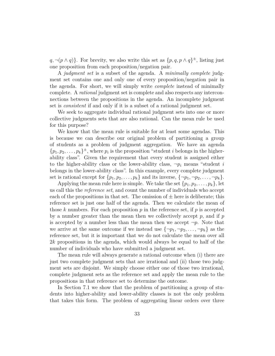$q, \neg(p \land q)$ . For brevity, we also write this set as  $\{p, q, p \land q\}^{\pm}$ , listing just one proposition from each proposition/negation pair.

A *judgment set* is a subset of the agenda. A *minimally complete* judgment set contains one and only one of every proposition/negation pair in the agenda. For short, we will simply write *complete* instead of minimally complete. A *rational* judgment set is complete and also respects any interconnections between the propositions in the agenda. An incomplete judgment set is *consistent* if and only if it is a subset of a rational judgment set.

We seek to aggregate individual rational judgment sets into one or more collective judgments sets that are also rational. Can the mean rule be used for this purpose?

We know that the mean rule is suitable for at least some agendas. This is because we can describe our original problem of partitioning a group of students as a problem of judgment aggregation. We have an agenda  $\{p_1, p_2, \ldots, p_k\}^{\pm}$ , where  $p_i$  is the proposition "student *i* belongs in the higherability class". Given the requirement that every student is assigned either to the higher-ability class or the lower-ability class,  $\neg p_i$  means "student *i* belongs in the lower-ability class". In this example, every complete judgment set is rational except for  $\{p_1, p_2, \ldots, p_k\}$  and its inverse,  $\{\neg p_1, \neg p_2, \ldots, \neg p_k\}$ .

Applying the mean rule here is simple. We take the set  $\{p_1, p_2, \ldots, p_k\}$ , let us call this the *reference set*, and count the number of individuals who accept each of the propositions in that set. The omission of  $\pm$  here is deliberate; this reference set is just one half of the agenda. Then we calculate the mean of those  $k$  numbers. For each proposition  $p$  in the reference set, if  $p$  is accepted by a number greater than the mean then we collectively accept *p*, and if *p* is accepted by a number less than the mean then we accept  $\neg p$ . Note that we arrive at the same outcome if we instead use  $\{\neg p_1, \neg p_2, \ldots, \neg p_k\}$  as the reference set, but it is important that we do not calculate the mean over all 2*k* propositions in the agenda, which would always be equal to half of the number of individuals who have submitted a judgment set.

The mean rule will always generate a rational outcome when (i) there are just two complete judgment sets that are irrational and (ii) those two judgment sets are disjoint. We simply choose either one of those two irrational, complete judgment sets as the reference set and apply the mean rule to the propositions in that reference set to determine the outcome.

In Section 7.1 we show that the problem of partitioning a group of students into higher-ability and lower-ability classes is not the only problem that takes this form. The problem of aggregating linear orders over three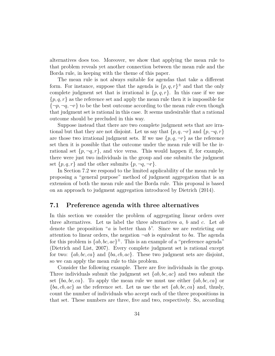alternatives does too. Moreover, we show that applying the mean rule to that problem reveals yet another connection between the mean rule and the Borda rule, in keeping with the theme of this paper.

The mean rule is not always suitable for agendas that take a different form. For instance, suppose that the agenda is  $\{p,q,r\}^{\pm}$  and that the only complete judgment set that is irrational is  $\{p,q,r\}$ . In this case if we use  ${p, q, r}$  as the reference set and apply the mean rule then it is impossible for  $\{\neg p, \neg q, \neg r\}$  to be the best outcome according to the mean rule even though that judgment set is rational in this case. It seems undesirable that a rational outcome should be precluded in this way.

Suppose instead that there are two complete judgment sets that are irrational but that they are not disjoint. Let us say that  $\{p, q, \neg r\}$  and  $\{p, \neg q, r\}$ are those two irrational judgment sets. If we use  $\{p, q, \neg r\}$  as the reference set then it is possible that the outcome under the mean rule will be the irrational set  $\{p, \neg q, r\}$ , and vice versa. This would happen if, for example, there were just two individuals in the group and one submits the judgment set  $\{p, q, r\}$  and the other submits  $\{p, \neg q, \neg r\}.$ 

In Section 7.2 we respond to the limited applicability of the mean rule by proposing a "general purpose" method of judgment aggregation that is an extension of both the mean rule and the Borda rule. This proposal is based on an approach to judgment aggregation introduced by Dietrich (2014).

#### **7.1 Preference agenda with three alternatives**

In this section we consider the problem of aggregating linear orders over three alternatives. Let us label the three alternatives *a*, *b* and *c*. Let *ab* denote the proposition "*a* is better than *b*". Since we are restricting our attention to linear orders, the negation  $\neg ab$  is equivalent to *ba*. The agenda for this problem is  $\{ab, bc, ac\}^{\pm}$ . This is an example of a "preference agenda" (Dietrich and List, 2007). Every complete judgment set is rational except for two: {*ab, bc, ca*} and {*ba, cb, ac*}. These two judgment sets are disjoint, so we can apply the mean rule to this problem.

Consider the following example. There are five individuals in the group. Three individuals submit the judgment set {*ab, bc, ac*} and two submit the set  ${ba, bc, ca}$ . To apply the mean rule we must use either  ${ab, bc, ca}$  or {*ba, cb, ac*} as the reference set. Let us use the set {*ab, bc, ca*} and, thusly, count the number of individuals who accept each of the three propositions in that set. These numbers are three, five and two, respectively. So, according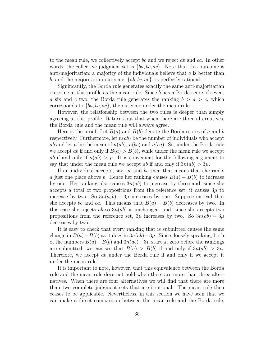to the mean rule, we collectively accept *bc* and we reject *ab* and *ca*. In other words, the collective judgment set is {*ba, bc, ac*}. Note that this outcome is anti-majoritarian; a majority of the individuals believe that *a* is better than *b*, and the majoritarian outcome, {*ab, bc, ac*}, is perfectly rational.

Significantly, the Borda rule generates exactly the same anti-majoritarian outcome at this profile as the mean rule. Since *b* has a Borda score of seven, *a* six and *c* two, the Borda rule generates the ranking  $b > a > c$ , which corresponds to {*ba, bc, ac*}, the outcome under the mean rule.

However, the relationship between the two rules is deeper than simply agreeing at this profile. It turns out that when there are three alternatives, the Borda rule and the mean rule will always agree.

Here is the proof. Let *B*(*a*) and *B*(*b*) denote the Borda scores of *a* and *b* respectively. Furthermore, let  $n(ab)$  be the number of individuals who accept *ab* and let  $\mu$  be the mean of  $n(ab)$ ,  $n(bc)$  and  $n(ca)$ . So, under the Borda rule we accept *ab* if and only if  $B(a) > B(b)$ , while under the mean rule we accept *ab* if and only if  $n(ab) > \mu$ . It is convenient for the following argument to say that under the mean rule we accept *ab* if and only if  $3n(ab) > 3\mu$ .

If an individual accepts, say, *ab* and *bc* then that means that she ranks *a* just one place above *b*. Hence her ranking causes  $B(a) - B(b)$  to increase by one. Her ranking also causes  $3n(ab)$  to increase by three and, since she accepts a total of two propositions from the reference set, it causes  $3\mu$  to increase by two. So  $3n(a, b) - 3\mu$  increases by one. Suppose instead that she accepts *bc* and *ca*. This means that  $B(a) - B(b)$  decreases by two. In this case she rejects  $ab$  so  $3n(ab)$  is unchanged, and, since she accepts two propositions from the reference set,  $3\mu$  increases by two. So  $3n(ab) - 3\mu$ decreases by two.

It is easy to check that every ranking that is submitted causes the same change in  $B(a) - B(b)$  as it does in  $3n(ab) - 3\mu$ . Since, loosely speaking, both of the numbers  $B(a) - B(b)$  and  $3n(ab) - 3\mu$  start at zero before the rankings are submitted, we can see that  $B(a) > B(b)$  if and only if  $3n(ab) > 3\mu$ . Therefore, we accept *ab* under the Borda rule if and only if we accept it under the mean rule.

It is important to note, however, that this equivalence between the Borda rule and the mean rule does not hold when there are more than three alternatives. When there are four alternatives we will find that there are more than two complete judgment sets that are irrational. The mean rule then ceases to be applicable. Nevertheless, in this section we have seen that we can make a direct comparison between the mean rule and the Borda rule,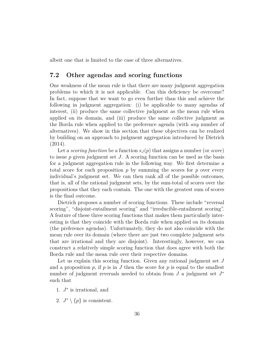albeit one that is limited to the case of three alternatives.

### **7.2 Other agendas and scoring functions**

One weakness of the mean rule is that there are many judgment aggregation problems to which it is not applicable. Can this deficiency be overcome? In fact, suppose that we want to go even further than this and achieve the following in judgment aggregation: (i) be applicable to many agendas of interest, (ii) produce the same collective judgment as the mean rule when applied on its domain, and (iii) produce the same collective judgment as the Borda rule when applied to the preference agenda (with *any* number of alternatives). We show in this section that these objectives can be realized by building on an approach to judgment aggregation introduced by Dietrich (2014).

Let a *scoring function* be a function  $s_J(p)$  that assigns a number (or *score*) to issue *p* given judgment set *J*. A scoring function can be used as the basis for a judgment aggregation rule in the following way. We first determine a total score for each proposition  $p$  by summing the scores for  $p$  over every individual's judgment set. We can then rank all of the possible outcomes, that is, all of the rational judgment sets, by the sum-total of scores over the propositions that they each contain. The one with the greatest sum of scores is the final outcome.

Dietrich proposes a number of scoring functions. These include "reversal scoring", "disjoint-entailment scoring" and "irreducible-entailment scoring". A feature of these three scoring functions that makes them particularly interesting is that they coincide with the Borda rule when applied on its domain (the preference agendas). Unfortunately, they do not also coincide with the mean rule over its domain (where there are just two complete judgment sets that are irrational and they are disjoint). Interestingly, however, we can construct a relatively simple scoring function that does agree with both the Borda rule and the mean rule over their respective domains.

Let us explain this scoring function. Given any rational judgment set *J* and a proposition  $p$ , if  $p$  is in  $J$  then the score for  $p$  is equal to the smallest number of judgment reversals needed to obtain from *J* a judgment set *J* ∗ such that

- 1. *J* ∗ is irrational, and
- 2.  $J^* \setminus \{p\}$  is consistent.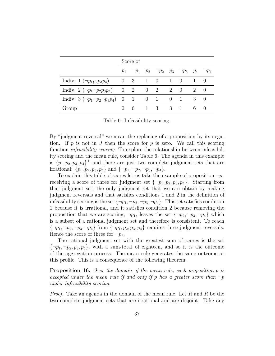|                                                            | Score of |  |  |           |  |                                                                     |   |        |
|------------------------------------------------------------|----------|--|--|-----------|--|---------------------------------------------------------------------|---|--------|
|                                                            |          |  |  |           |  | $p_1$ $\neg p_1$ $p_2$ $\neg p_2$ $p_3$ $\neg p_3$ $p_4$ $\neg p_4$ |   |        |
| Indiv. $1(\neg p_1p_2p_3p_4)$ 0 3 1 0 1 0 1 0              |          |  |  |           |  |                                                                     |   |        |
| Indiv. $2(\neg p_1 \neg p_2 p_3 p_4)$ 0 2 0 2 0 2 0        |          |  |  |           |  |                                                                     |   |        |
| Indiv. $3(\neg p_1 \neg p_2 \neg p_3 p_4)$ 0 1 0 1 0 1 3 0 |          |  |  |           |  |                                                                     |   |        |
| Group                                                      |          |  |  | 6 1 3 3 1 |  |                                                                     | 6 | $\cup$ |

Table 6: Infeasibility scoring.

By "judgment reversal" we mean the replacing of a proposition by its negation. If  $p$  is not in  $J$  then the score for  $p$  is zero. We call this scoring function *infeasibility scoring*. To explore the relationship between infeasibility scoring and the mean rule, consider Table 6. The agenda in this example is  $\{p_1, p_2, p_3, p_4\}^{\pm}$  and there are just two complete judgment sets that are irrational:  $\{p_1, p_2, p_3, p_4\}$  and  $\{\neg p_1, \neg p_2, \neg p_3, \neg p_4\}.$ 

To explain this table of scores let us take the example of proposition  $\neg p_1$ receiving a score of three for judgment set  $\{\neg p_1, p_2, p_3, p_4\}$ . Starting from that judgment set, the only judgment set that we can obtain by making judgment reversals and that satisfies conditions 1 and 2 in the definition of infeasibility scoring is the set  $\{\neg p_1, \neg p_2, \neg p_3, \neg p_4\}$ . This set satisfies condition 1 because it is irrational, and it satisfies condition 2 because removing the proposition that we are scoring,  $\neg p_1$ , leaves the set  $\{\neg p_2, \neg p_3, \neg p_4\}$  which is a subset of a rational judgment set and therefore is consistent. To reach  ${\lbrace \neg p_1, \neg p_2, \neg p_3, \neg p_4 \rbrace}$  from  ${\lbrace \neg p_1, p_2, p_3, p_4 \rbrace}$  requires three judgment reversals. Hence the score of three for  $\neg p_1$ .

The rational judgment set with the greatest sum of scores is the set  ${\lbrace \neg p_1, \neg p_2, p_3, p_4 \rbrace}$ , with a sum-total of eighteen, and so it is the outcome of the aggregation process. The mean rule generates the same outcome at this profile. This is a consequence of the following theorem.

**Proposition 16.** *Over the domain of the mean rule, each proposition p is accepted under the mean rule if and only if*  $p$  *has a greater score than*  $\neg p$ *under infeasibility scoring.*

*Proof.* Take an agenda in the domain of the mean rule. Let R and R be the two complete judgment sets that are irrational and are disjoint. Take any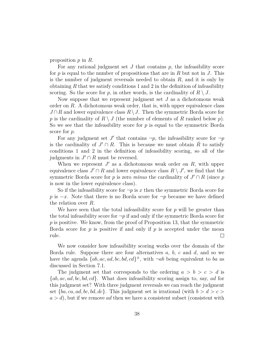proposition *p* in *R*.

For any rational judgment set *J* that contains *p*, the infeasibility score for *p* is equal to the number of propositions that are in *R* but not in *J*. This is the number of judgment reversals needed to obtain *R*, and it is only by obtaining *R* that we satisfy conditions 1 and 2 in the definition of infeasibility scoring. So the score for *p*, in other words, is the cardinality of  $R \setminus J$ .

Now suppose that we represent judgment set *J* as a dichotomous weak order on *R*. A dichotomous weak order, that is, with upper equivalence class *J* ∩ *R* and lower equivalence class  $R\setminus J$ . Then the symmetric Borda score for p is the cardinality of  $R \setminus J$  (the number of elements of R ranked below p). So we see that the infeasibility score for  $p$  is equal to the symmetric Borda score for *p*.

For any judgment set  $J'$  that contains  $\neg p$ , the infeasibility score for  $\neg p$ is the cardinality of  $J' \cap R$ . This is because we must obtain  $\overline{R}$  to satisfy conditions 1 and 2 in the definition of infeasibility scoring, so all of the judgments in  $J' \cap R$  must be reversed.

When we represent  $J'$  as a dichotomous weak order on  $R$ , with upper equivalence class  $J' \cap R$  and lower equivalence class  $R \setminus J'$ , we find that the symmetric Borda score for *p* is zero *minus* the cardinality of  $J' \cap R$  (since *p* is now in the lower equivalence class).

So if the infeasibility score for  $\neg p$  is x then the symmetric Borda score for *p* is  $-x$ . Note that there is no Borda score for  $\neg p$  because we have defined the relation over *R*.

We have seen that the total infeasibility score for *p* will be greater than the total infeasibility score for  $\neg p$  if and only if the symmetric Borda score for *p* is positive. We know, from the proof of Proposition 13, that the symmetric Borda score for *p* is positive if and only if *p* is accepted under the mean rule.  $\Box$ 

We now consider how infeasibility scoring works over the domain of the Borda rule. Suppose there are four alternatives *a*, *b*, *c* and *d*, and so we have the agenda  ${ab, ac, ad, bc, bd, cd}^{\pm}$ , with  $\neg ab$  being equivalent to *ba* as discussed in Section 7.1.

The judgment set that corresponds to the ordering  $a > b > c > d$  is {*ab, ac, ad, bc, bd, cd*}. What does infeasibility scoring assign to, say, *ad* for this judgment set? With three judgment reversals we can reach the judgment set  ${ba, ca, ad, bc, bd, dc}$ . This judgment set is irrational (with  $b > d > c$ ) *a > d*), but if we remove *ad* then we have a consistent subset (consistent with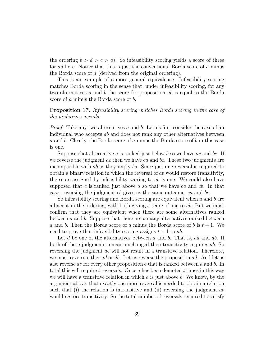the ordering  $b > d > c > a$ ). So infeasibility scoring yields a score of three for *ad* here. Notice that this is just the conventional Borda score of *a* minus the Borda score of *d* (derived from the original ordering).

This is an example of a more general equivalence. Infeasibility scoring matches Borda scoring in the sense that, under infeasibility scoring, for any two alternatives *a* and *b* the score for proposition *ab* is equal to the Borda score of *a* minus the Borda score of *b*.

#### **Proposition 17.** *Infeasibility scoring matches Borda scoring in the case of the preference agenda.*

*Proof.* Take any two alternatives *a* and *b*. Let us first consider the case of an individual who accepts *ab* and does not rank any other alternatives between *a* and *b*. Clearly, the Borda score of *a* minus the Borda score of *b* in this case is one.

Suppose that alternative *c* is ranked just below *b* so we have *ac* and *bc*. If we reverse the judgment *ac* then we have *ca* and *bc*. These two judgments are incompatible with *ab* as they imply *ba*. Since just one reversal is required to obtain a binary relation in which the reversal of *ab* would restore transitivity, the score assigned by infeasibility scoring to *ab* is one. We could also have supposed that *c* is ranked just above *a* so that we have *ca* and *cb*. In that case, reversing the judgment *cb* gives us the same outcome; *ca* and *bc*.

So infeasibility scoring and Borda scoring are equivalent when *a* and *b* are adjacent in the ordering, with both giving a score of one to *ab*. But we must confirm that they are equivalent when there are some alternatives ranked between *a* and *b*. Suppose that there are *t*-many alternatives ranked between *a* and *b*. Then the Borda score of *a* minus the Borda score of *b* is *t* + 1. We need to prove that infeasibility scoring assigns  $t + 1$  to  $ab$ .

Let *d* be one of the alternatives between *a* and *b*. That is, *ad* and *db*. If both of these judgments remain unchanged then transitivity requires *ab*. So reversing the judgment *ab* will not result in a transitive relation. Therefore, we must reverse either *ad* or *db*. Let us reverse the proposition *ad*. And let us also reverse *ae* for every other proposition *e* that is ranked between *a* and *b*. In total this will require *t* reversals. Once *a* has been demoted *t* times in this way we will have a transitive relation in which *a* is just above *b*. We know, by the argument above, that exactly one more reversal is needed to obtain a relation such that (i) the relation is intransitive and (ii) reversing the judgment *ab* would restore transitivity. So the total number of reversals required to satisfy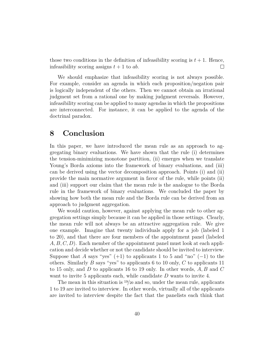those two conditions in the definition of infeasibility scoring is  $t + 1$ . Hence, infeasibility scoring assigns  $t + 1$  to  $ab$ .  $\Box$ 

We should emphasize that infeasibility scoring is not always possible. For example, consider an agenda in which each proposition/negation pair is logically independent of the others. Then we cannot obtain an irrational judgment set from a rational one by making judgment reversals. However, infeasibility scoring can be applied to many agendas in which the propositions are interconnected. For instance, it can be applied to the agenda of the doctrinal paradox.

## **8 Conclusion**

In this paper, we have introduced the mean rule as an approach to aggregating binary evaluations. We have shown that the rule (i) determines the tension-minimizing monotone partition, (ii) emerges when we translate Young's Borda axioms into the framework of binary evaluations, and (iii) can be derived using the vector decomposition approach. Points (i) and (ii) provide the main normative argument in favor of the rule, while points (ii) and (iii) support our claim that the mean rule is the analogue to the Borda rule in the framework of binary evaluations. We concluded the paper by showing how both the mean rule and the Borda rule can be derived from an approach to judgment aggregation.

We would caution, however, against applying the mean rule to other aggregation settings simply because it can be applied in those settings. Clearly, the mean rule will not always be an attractive aggregation rule. We give one example. Imagine that twenty individuals apply for a job (labeled 1 to 20), and that there are four members of the appointment panel (labeled *A, B, C, D*). Each member of the appointment panel must look at each application and decide whether or not the candidate should be invited to interview. Suppose that *A* says "yes"  $(+1)$  to applicants 1 to 5 and "no"  $(-1)$  to the others. Similarly *B* says "yes" to applicants 6 to 10 only, *C* to applicants 11 to 15 only, and *D* to applicants 16 to 19 only. In other words, *A, B* and *C* want to invite 5 applicants each, while candidate *D* wants to invite 4.

The mean in this situation is <sup>19</sup>*/*<sup>20</sup> and so, under the mean rule, applicants 1 to 19 are invited to interview. In other words, virtually all of the applicants are invited to interview despite the fact that the panelists each think that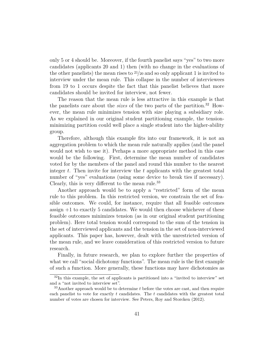only 5 or 4 should be. Moreover, if the fourth panelist says "yes" to two more candidates (applicants 20 and 1) then (with no change in the evaluations of the other panelists) the mean rises to <sup>21</sup>*/*<sup>20</sup> and so only applicant 1 is invited to interview under the mean rule. This collapse in the number of interviewees from 19 to 1 occurs despite the fact that this panelist believes that more candidates should be invited for interview, not fewer.

The reason that the mean rule is less attractive in this example is that the panelists care about the *sizes* of the two parts of the partition.<sup>32</sup> However, the mean rule minimizes tension with size playing a subsidiary role. As we explained in our original student partitioning example, the tensionminimizing partition could well place a single student into the higher-ability group.

Therefore, although this example fits into our framework, it is not an aggregation problem to which the mean rule naturally applies (and the panel would not wish to use it). Perhaps a more appropriate method in this case would be the following. First, determine the mean number of candidates voted for by the members of the panel and round this number to the nearest integer *t*. Then invite for interview the *t* applicants with the greatest total number of "yes" evaluations (using some device to break ties if necessary). Clearly, this is very different to the mean rule.<sup>33</sup>

Another approach would be to apply a "restricted" form of the mean rule to this problem. In this restricted version, we constrain the set of feasible outcomes. We could, for instance, require that all feasible outcomes assign  $+1$  to exactly 5 candidates. We would then choose whichever of these feasible outcomes minimizes tension (as in our original student partitioning problem). Here total tension would correspond to the sum of the tension in the set of interviewed applicants and the tension in the set of non-interviewed applicants. This paper has, however, dealt with the unrestricted version of the mean rule, and we leave consideration of this restricted version to future research.

Finally, in future research, we plan to explore further the properties of what we call "social dichotomy functions". The mean rule is the first example of such a function. More generally, these functions may have dichotomies as

 $32$ In this example, the set of applicants is partitioned into a "invited to interview" set and a "not invited to interview set".

<sup>33</sup>Another approach would be to determine *t* before the votes are cast, and then require each panelist to vote for exactly *t* candidates. The *t* candidates with the greatest total number of votes are chosen for interview. See Peters, Roy and Storcken (2012).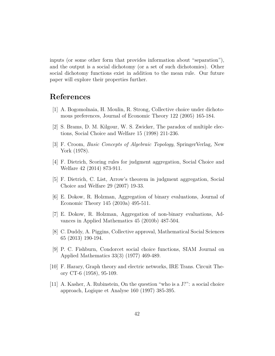inputs (or some other form that provides information about "separation"), and the output is a social dichotomy (or a set of such dichotomies). Other social dichotomy functions exist in addition to the mean rule. Our future paper will explore their properties further.

## **References**

- [1] A. Bogomolnaia, H. Moulin, R. Strong, Collective choice under dichotomous preferences, Journal of Economic Theory 122 (2005) 165-184.
- [2] S. Brams, D. M. Kilgour, W. S. Zwicker, The paradox of multiple elections, Social Choice and Welfare 15 (1998) 211-236.
- [3] F. Croom, *Basic Concepts of Algebraic Topology*, SpringerVerlag, New York (1978).
- [4] F. Dietrich, Scoring rules for judgment aggregation, Social Choice and Welfare 42 (2014) 873-911.
- [5] F. Dietrich, C. List, Arrow's theorem in judgment aggregation, Social Choice and Welfare 29 (2007) 19-33.
- [6] E. Dokow, R. Holzman, Aggregation of binary evaluations, Journal of Economic Theory 145 (2010a) 495-511.
- [7] E. Dokow, R. Holzman, Aggregation of non-binary evaluations, Advances in Applied Mathematics 45 (2010b) 487-504.
- [8] C. Duddy, A. Piggins, Collective approval, Mathematical Social Sciences 65 (2013) 190-194.
- [9] P. C. Fishburn, Condorcet social choice functions, SIAM Journal on Applied Mathematics 33(3) (1977) 469-489.
- [10] F. Harary, Graph theory and electric networks, IRE Trans. Circuit Theory CT-6 (1958), 95-109.
- [11] A. Kasher, A. Rubinstein, On the question "who is a J?": a social choice approach, Logique et Analyse 160 (1997) 385-395.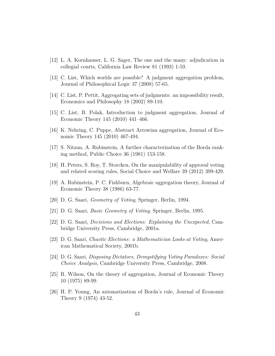- [12] L. A. Kornhauser, L. G. Sager, The one and the many: adjudication in collegial courts, California Law Review 81 (1993) 1-59.
- [13] C. List, Which worlds are possible? A judgment aggregation problem, Journal of Philosophical Logic 37 (2008) 57-65.
- [14] C. List, P. Pettit, Aggregating sets of judgments: an impossibility result, Economics and Philosophy 18 (2002) 89-110.
- [15] C. List, B. Polak, Introduction to judgment aggregation, Journal of Economic Theory 145 (2010) 441–466.
- [16] K. Nehring, C. Puppe, Abstract Arrowian aggregation, Journal of Economic Theory 145 (2010) 467-494.
- [17] S. Nitzan, A. Rubinstein, A further characterization of the Borda ranking method, Public Choice 36 (1981) 153-158.
- [18] H. Peters, S. Roy, T. Storcken, On the manipulability of approval voting and related scoring rules, Social Choice and Welfare 39 (2012) 399-429.
- [19] A. Rubinstein, P. C. Fishburn, Algebraic aggregation theory, Journal of Economic Theory 38 (1986) 63-77.
- [20] D. G. Saari, *Geometry of Voting*, Springer, Berlin, 1994.
- [21] D. G. Saari, *Basic Geometry of Voting*, Springer, Berlin, 1995.
- [22] D. G. Saari, *Decisions and Elections: Explaining the Unexpected*, Cambridge University Press, Cambridge, 2001a.
- [23] D. G. Saari, *Chaotic Elections: a Mathematician Looks at Voting*, American Mathematical Society, 2001b.
- [24] D. G. Saari, *Disposing Dictators, Demystifying Voting Paradoxes: Social Choice Analysis*, Cambridge University Press, Cambridge, 2008.
- [25] R. Wilson, On the theory of aggregation, Journal of Economic Theory 10 (1975) 89-99.
- [26] H. P. Young, An axiomatization of Borda's rule, Journal of Economic Theory 9 (1974) 43-52.